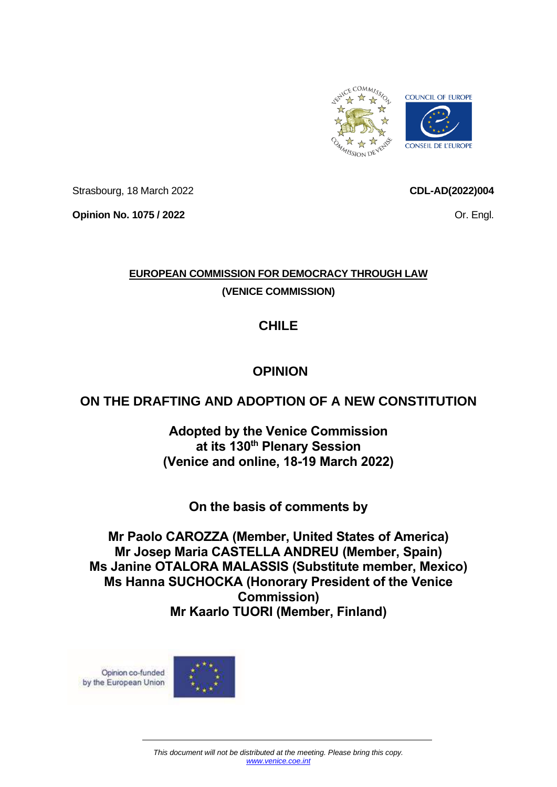

Strasbourg, 18 March 2022

**Opinion No. 1075 / 2022**

**CDL-AD(2022)004**

Or. Engl.

# **EUROPEAN COMMISSION FOR DEMOCRACY THROUGH LAW (VENICE COMMISSION)**

# **CHILE**

# **OPINION**

# **ON THE DRAFTING AND ADOPTION OF A NEW CONSTITUTION**

**Adopted by the Venice Commission at its 130th Plenary Session (Venice and online, 18-19 March 2022)**

# **On the basis of comments by**

**Mr Paolo CAROZZA (Member, United States of America) Mr Josep Maria CASTELLA ANDREU (Member, Spain) Ms Janine OTALORA MALASSIS (Substitute member, Mexico) Ms Hanna SUCHOCKA (Honorary President of the Venice Commission) Mr Kaarlo TUORI (Member, Finland)**

Opinion co-funded by the European Union

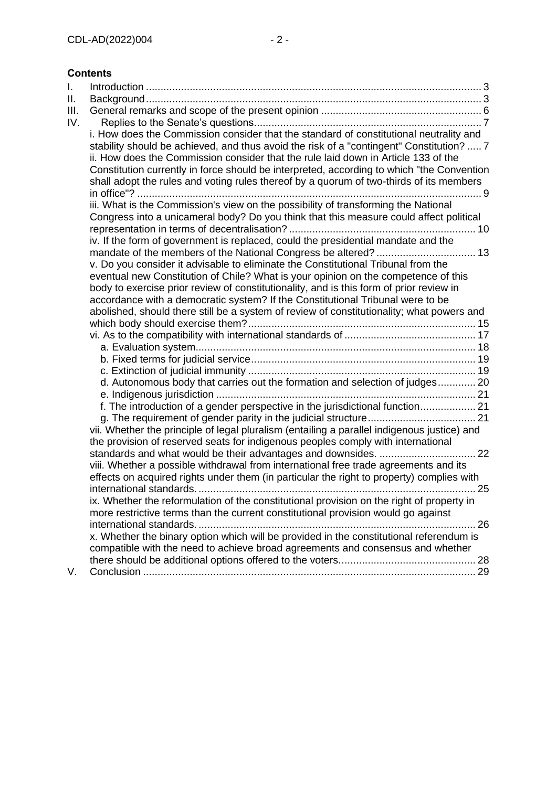# **Contents**

| I.   |                                                                                             |  |
|------|---------------------------------------------------------------------------------------------|--|
| ΙΙ.  |                                                                                             |  |
| III. |                                                                                             |  |
| IV.  |                                                                                             |  |
|      | i. How does the Commission consider that the standard of constitutional neutrality and      |  |
|      | stability should be achieved, and thus avoid the risk of a "contingent" Constitution?  7    |  |
|      | ii. How does the Commission consider that the rule laid down in Article 133 of the          |  |
|      | Constitution currently in force should be interpreted, according to which "the Convention   |  |
|      | shall adopt the rules and voting rules thereof by a quorum of two-thirds of its members     |  |
|      |                                                                                             |  |
|      | iii. What is the Commission's view on the possibility of transforming the National          |  |
|      | Congress into a unicameral body? Do you think that this measure could affect political      |  |
|      |                                                                                             |  |
|      | iv. If the form of government is replaced, could the presidential mandate and the           |  |
|      | mandate of the members of the National Congress be altered?  13                             |  |
|      | v. Do you consider it advisable to eliminate the Constitutional Tribunal from the           |  |
|      | eventual new Constitution of Chile? What is your opinion on the competence of this          |  |
|      | body to exercise prior review of constitutionality, and is this form of prior review in     |  |
|      | accordance with a democratic system? If the Constitutional Tribunal were to be              |  |
|      | abolished, should there still be a system of review of constitutionality; what powers and   |  |
|      |                                                                                             |  |
|      |                                                                                             |  |
|      |                                                                                             |  |
|      |                                                                                             |  |
|      |                                                                                             |  |
|      | d. Autonomous body that carries out the formation and selection of judges 20                |  |
|      |                                                                                             |  |
|      | f. The introduction of a gender perspective in the jurisdictional function 21               |  |
|      |                                                                                             |  |
|      | vii. Whether the principle of legal pluralism (entailing a parallel indigenous justice) and |  |
|      | the provision of reserved seats for indigenous peoples comply with international            |  |
|      |                                                                                             |  |
|      | viii. Whether a possible withdrawal from international free trade agreements and its        |  |
|      | effects on acquired rights under them (in particular the right to property) complies with   |  |
|      |                                                                                             |  |
|      | ix. Whether the reformulation of the constitutional provision on the right of property in   |  |
|      | more restrictive terms than the current constitutional provision would go against           |  |
|      |                                                                                             |  |
|      | x. Whether the binary option which will be provided in the constitutional referendum is     |  |
|      | compatible with the need to achieve broad agreements and consensus and whether              |  |
|      |                                                                                             |  |
| V.   |                                                                                             |  |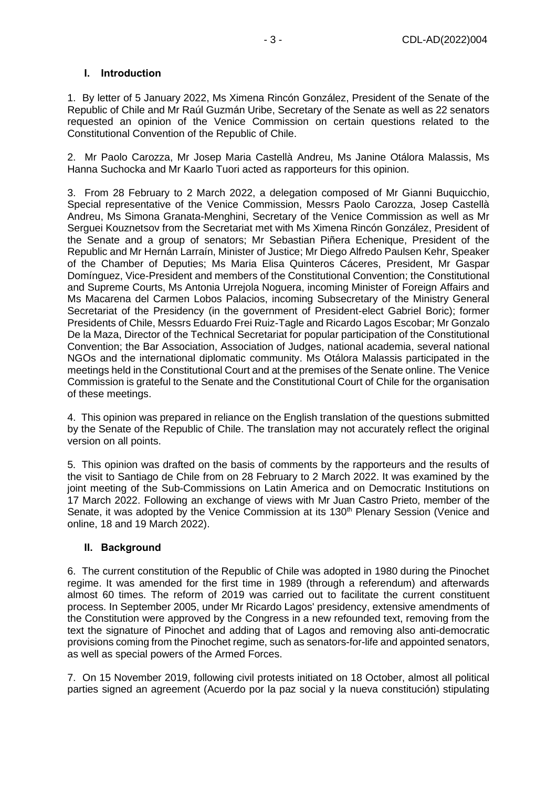# <span id="page-2-0"></span>**I. Introduction**

1. By letter of 5 January 2022, Ms Ximena Rincón González, President of the Senate of the Republic of Chile and Mr Raúl Guzmán Uribe, Secretary of the Senate as well as 22 senators requested an opinion of the Venice Commission on certain questions related to the Constitutional Convention of the Republic of Chile.

2. Mr Paolo Carozza, Mr Josep Maria Castellà Andreu, Ms Janine Otálora Malassis, Ms Hanna Suchocka and Mr Kaarlo Tuori acted as rapporteurs for this opinion.

3. From 28 February to 2 March 2022, a delegation composed of Mr Gianni Buquicchio, Special representative of the Venice Commission, Messrs Paolo Carozza, Josep Castellà Andreu, Ms Simona Granata-Menghini, Secretary of the Venice Commission as well as Mr Serguei Kouznetsov from the Secretariat met with Ms Ximena Rincón González, President of the Senate and a group of senators; Mr Sebastian Piñera Echenique, President of the Republic and Mr Hernán Larraín, Minister of Justice; Mr Diego Alfredo Paulsen Kehr, Speaker of the Chamber of Deputies; Ms Maria Elisa Quinteros Cáceres, President, Mr Gaspar Domínguez, Vice-President and members of the Constitutional Convention; the Constitutional and Supreme Courts, Ms Antonia Urrejola Noguera, incoming Minister of Foreign Affairs and Ms Macarena del Carmen Lobos Palacios, incoming Subsecretary of the Ministry General Secretariat of the Presidency (in the government of President-elect Gabriel Boric); former Presidents of Chile, Messrs Eduardo Frei Ruiz-Tagle and Ricardo Lagos Escobar; Mr Gonzalo De la Maza, Director of the Technical Secretariat for popular participation of the Constitutional Convention; the Bar Association, Association of Judges, national academia, several national NGOs and the international diplomatic community. Ms Otálora Malassis participated in the meetings held in the Constitutional Court and at the premises of the Senate online. The Venice Commission is grateful to the Senate and the Constitutional Court of Chile for the organisation of these meetings.

4. This opinion was prepared in reliance on the English translation of the questions submitted by the Senate of the Republic of Chile. The translation may not accurately reflect the original version on all points.

5. This opinion was drafted on the basis of comments by the rapporteurs and the results of the visit to Santiago de Chile from on 28 February to 2 March 2022. It was examined by the joint meeting of the Sub-Commissions on Latin America and on Democratic Institutions on 17 March 2022. Following an exchange of views with Mr Juan Castro Prieto, member of the Senate, it was adopted by the Venice Commission at its 130<sup>th</sup> Plenary Session (Venice and online, 18 and 19 March 2022).

# <span id="page-2-1"></span>**II. Background**

6. The current constitution of the Republic of Chile was adopted in 1980 during the Pinochet regime. It was amended for the first time in 1989 (through a referendum) and afterwards almost 60 times. The reform of 2019 was carried out to facilitate the current constituent process. In September 2005, under Mr Ricardo Lagos' presidency, extensive amendments of the Constitution were approved by the Congress in a new refounded text, removing from the text the signature of Pinochet and adding that of Lagos and removing also anti-democratic provisions coming from the Pinochet regime, such as senators-for-life and appointed senators, as well as special powers of the Armed Forces.

7. On 15 November 2019, following civil protests initiated on 18 October, almost all political parties signed an agreement (Acuerdo por la paz social y la nueva constitución) stipulating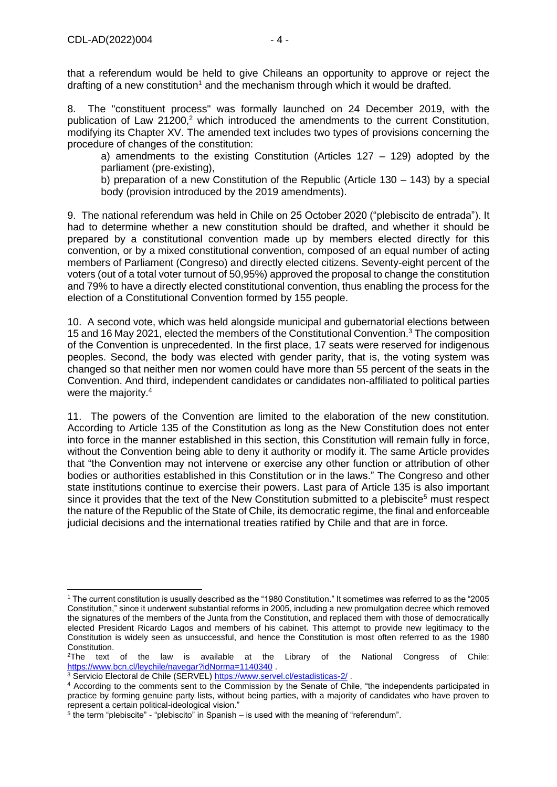that a referendum would be held to give Chileans an opportunity to approve or reject the drafting of a new constitution<sup>1</sup> and the mechanism through which it would be drafted.

8. The "constituent process" was formally launched on 24 December 2019, with the publication of Law 21200, $2$  which introduced the amendments to the current Constitution, modifying its Chapter XV. The amended text includes two types of provisions concerning the procedure of changes of the constitution:

a) amendments to the existing Constitution (Articles  $127 - 129$ ) adopted by the parliament (pre-existing),

b) preparation of a new Constitution of the Republic (Article 130 – 143) by a special body (provision introduced by the 2019 amendments).

9. The national referendum was held in Chile on 25 October 2020 ("plebiscito de entrada"). It had to determine whether a new constitution should be drafted, and whether it should be prepared by a constitutional convention made up by members elected directly for this convention, or by a mixed constitutional convention, composed of an equal number of acting members of Parliament (Congreso) and directly elected citizens. Seventy-eight percent of the voters (out of a total voter turnout of 50,95%) approved the proposal to change the constitution and 79% to have a directly elected constitutional convention, thus enabling the process for the election of a Constitutional Convention formed by 155 people.

10. A second vote, which was held alongside municipal and gubernatorial elections between 15 and 16 May 2021, elected the members of the Constitutional Convention.<sup>3</sup> The composition of the Convention is unprecedented. In the first place, 17 seats were reserved for indigenous peoples. Second, the body was elected with gender parity, that is, the voting system was changed so that neither men nor women could have more than 55 percent of the seats in the Convention. And third, independent candidates or candidates non-affiliated to political parties were the majority.<sup>4</sup>

11. The powers of the Convention are limited to the elaboration of the new constitution. According to Article 135 of the Constitution as long as the New Constitution does not enter into force in the manner established in this section, this Constitution will remain fully in force, without the Convention being able to deny it authority or modify it. The same Article provides that "the Convention may not intervene or exercise any other function or attribution of other bodies or authorities established in this Constitution or in the laws." The Congreso and other state institutions continue to exercise their powers. Last para of Article 135 is also important since it provides that the text of the New Constitution submitted to a plebiscite<sup>5</sup> must respect the nature of the Republic of the State of Chile, its democratic regime, the final and enforceable judicial decisions and the international treaties ratified by Chile and that are in force.

<sup>1</sup> The current constitution is usually described as the "1980 Constitution." It sometimes was referred to as the "2005 Constitution," since it underwent substantial reforms in 2005, including a new promulgation decree which removed the signatures of the members of the Junta from the Constitution, and replaced them with those of democratically elected President Ricardo Lagos and members of his cabinet. This attempt to provide new legitimacy to the Constitution is widely seen as unsuccessful, and hence the Constitution is most often referred to as the 1980 Constitution.

<sup>2</sup>The text of the law is available at the Library of the National Congress of Chile: <https://www.bcn.cl/leychile/navegar?idNorma=1140340> .

<sup>3</sup> Servicio Electoral de Chile (SERVEL)<https://www.servel.cl/estadisticas-2/>

<sup>4</sup> According to the comments sent to the Commission by the Senate of Chile, "the independents participated in practice by forming genuine party lists, without being parties, with a majority of candidates who have proven to represent a certain political-ideological vision."

 $5$  the term "plebiscite" - "plebiscito" in Spanish – is used with the meaning of "referendum".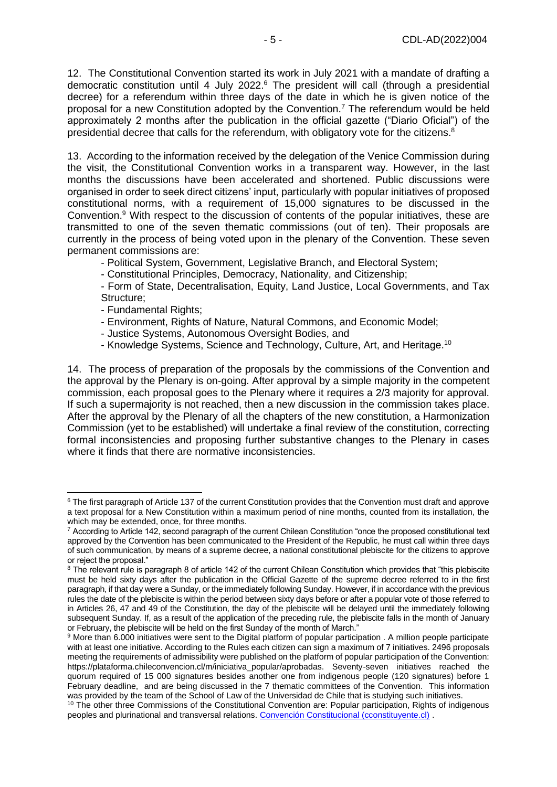12. The Constitutional Convention started its work in July 2021 with a mandate of drafting a democratic constitution until 4 July 2022.<sup>6</sup> The president will call (through a presidential decree) for a referendum within three days of the date in which he is given notice of the proposal for a new Constitution adopted by the Convention.<sup>7</sup> The referendum would be held approximately 2 months after the publication in the official gazette ("Diario Oficial") of the presidential decree that calls for the referendum, with obligatory vote for the citizens.<sup>8</sup>

13. According to the information received by the delegation of the Venice Commission during the visit, the Constitutional Convention works in a transparent way. However, in the last months the discussions have been accelerated and shortened. Public discussions were organised in order to seek direct citizens' input, particularly with popular initiatives of proposed constitutional norms, with a requirement of 15,000 signatures to be discussed in the Convention. $9$  With respect to the discussion of contents of the popular initiatives, these are transmitted to one of the seven thematic commissions (out of ten). Their proposals are currently in the process of being voted upon in the plenary of the Convention. These seven permanent commissions are:

- Political System, Government, Legislative Branch, and Electoral System;

- Constitutional Principles, Democracy, Nationality, and Citizenship;

- Form of State, Decentralisation, Equity, Land Justice, Local Governments, and Tax Structure;

- Fundamental Rights;
- Environment, Rights of Nature, Natural Commons, and Economic Model;
- Justice Systems, Autonomous Oversight Bodies, and
- Knowledge Systems, Science and Technology, Culture, Art, and Heritage.<sup>10</sup>

14. The process of preparation of the proposals by the commissions of the Convention and the approval by the Plenary is on-going. After approval by a simple majority in the competent commission, each proposal goes to the Plenary where it requires a 2/3 majority for approval. If such a supermajority is not reached, then a new discussion in the commission takes place. After the approval by the Plenary of all the chapters of the new constitution, a Harmonization Commission (yet to be established) will undertake a final review of the constitution, correcting formal inconsistencies and proposing further substantive changes to the Plenary in cases where it finds that there are normative inconsistencies.

<sup>&</sup>lt;sup>6</sup> The first paragraph of Article 137 of the current Constitution provides that the Convention must draft and approve a text proposal for a New Constitution within a maximum period of nine months, counted from its installation, the which may be extended, once, for three months.

 $7$  According to Article 142, second paragraph of the current Chilean Constitution "once the proposed constitutional text approved by the Convention has been communicated to the President of the Republic, he must call within three days of such communication, by means of a supreme decree, a national constitutional plebiscite for the citizens to approve or reject the proposal."

<sup>&</sup>lt;sup>8</sup> The relevant rule is paragraph 8 of article 142 of the current Chilean Constitution which provides that "this plebiscite" must be held sixty days after the publication in the Official Gazette of the supreme decree referred to in the first paragraph, if that day were a Sunday, or the immediately following Sunday. However, if in accordance with the previous rules the date of the plebiscite is within the period between sixty days before or after a popular vote of those referred to in Articles 26, 47 and 49 of the Constitution, the day of the plebiscite will be delayed until the immediately following subsequent Sunday. If, as a result of the application of the preceding rule, the plebiscite falls in the month of January or February, the plebiscite will be held on the first Sunday of the month of March."

<sup>9</sup> More than 6.000 initiatives were sent to the Digital platform of popular participation . A million people participate with at least one initiative. According to the Rules each citizen can sign a maximum of 7 initiatives. 2496 proposals meeting the requirements of admissibility were published on the platform of popular participation of the Convention: https://plataforma.chileconvencion.cl/m/iniciativa\_popular/aprobadas. Seventy-seven initiatives reached the quorum required of 15 000 signatures besides another one from indigenous people (120 signatures) before 1 February deadline, and are being discussed in the 7 thematic committees of the Convention. This information was provided by the team of the School of Law of the Universidad de Chile that is studying such initiatives.

<sup>&</sup>lt;sup>10</sup> The other three Commissions of the Constitutional Convention are: Popular participation, Rights of indigenous peoples and plurinational and transversal relations[. Convención Constitucional \(cconstituyente.cl\)](https://www.cconstituyente.cl/comisiones/) .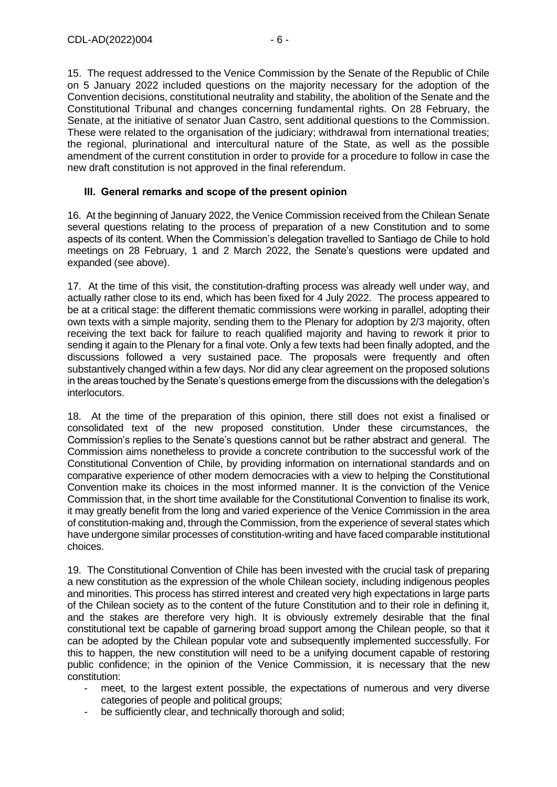15. The request addressed to the Venice Commission by the Senate of the Republic of Chile on 5 January 2022 included questions on the majority necessary for the adoption of the Convention decisions, constitutional neutrality and stability, the abolition of the Senate and the Constitutional Tribunal and changes concerning fundamental rights. On 28 February, the Senate, at the initiative of senator Juan Castro, sent additional questions to the Commission. These were related to the organisation of the judiciary; withdrawal from international treaties; the regional, plurinational and intercultural nature of the State, as well as the possible amendment of the current constitution in order to provide for a procedure to follow in case the new draft constitution is not approved in the final referendum.

# <span id="page-5-0"></span>**III. General remarks and scope of the present opinion**

16. At the beginning of January 2022, the Venice Commission received from the Chilean Senate several questions relating to the process of preparation of a new Constitution and to some aspects of its content. When the Commission's delegation travelled to Santiago de Chile to hold meetings on 28 February, 1 and 2 March 2022, the Senate's questions were updated and expanded (see above).

17. At the time of this visit, the constitution-drafting process was already well under way, and actually rather close to its end, which has been fixed for 4 July 2022. The process appeared to be at a critical stage: the different thematic commissions were working in parallel, adopting their own texts with a simple majority, sending them to the Plenary for adoption by 2/3 majority, often receiving the text back for failure to reach qualified majority and having to rework it prior to sending it again to the Plenary for a final vote. Only a few texts had been finally adopted, and the discussions followed a very sustained pace. The proposals were frequently and often substantively changed within a few days. Nor did any clear agreement on the proposed solutions in the areas touched by the Senate's questions emerge from the discussions with the delegation's interlocutors.

18. At the time of the preparation of this opinion, there still does not exist a finalised or consolidated text of the new proposed constitution. Under these circumstances, the Commission's replies to the Senate's questions cannot but be rather abstract and general. The Commission aims nonetheless to provide a concrete contribution to the successful work of the Constitutional Convention of Chile, by providing information on international standards and on comparative experience of other modern democracies with a view to helping the Constitutional Convention make its choices in the most informed manner. It is the conviction of the Venice Commission that, in the short time available for the Constitutional Convention to finalise its work, it may greatly benefit from the long and varied experience of the Venice Commission in the area of constitution-making and, through the Commission, from the experience of several states which have undergone similar processes of constitution-writing and have faced comparable institutional choices.

19. The Constitutional Convention of Chile has been invested with the crucial task of preparing a new constitution as the expression of the whole Chilean society, including indigenous peoples and minorities. This process has stirred interest and created very high expectations in large parts of the Chilean society as to the content of the future Constitution and to their role in defining it, and the stakes are therefore very high. It is obviously extremely desirable that the final constitutional text be capable of garnering broad support among the Chilean people, so that it can be adopted by the Chilean popular vote and subsequently implemented successfully. For this to happen, the new constitution will need to be a unifying document capable of restoring public confidence; in the opinion of the Venice Commission, it is necessary that the new constitution:

- meet, to the largest extent possible, the expectations of numerous and very diverse categories of people and political groups;
- be sufficiently clear, and technically thorough and solid;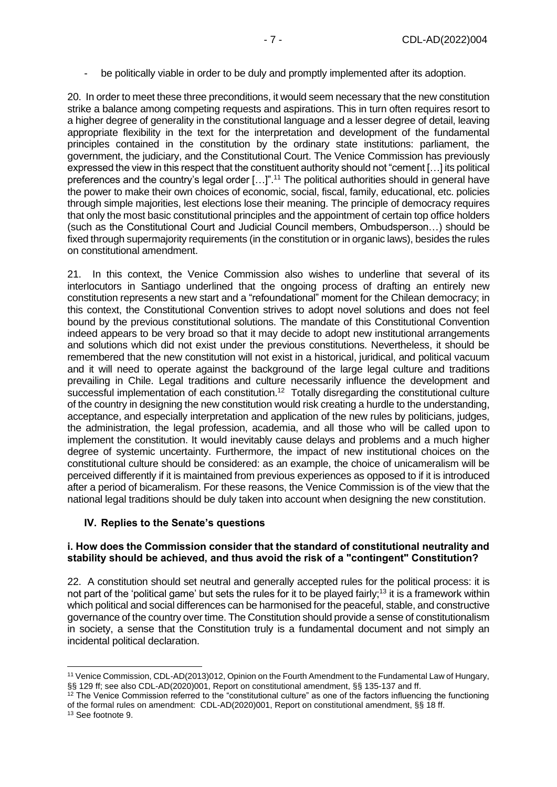- be politically viable in order to be duly and promptly implemented after its adoption.

20. In order to meet these three preconditions, it would seem necessary that the new constitution strike a balance among competing requests and aspirations. This in turn often requires resort to a higher degree of generality in the constitutional language and a lesser degree of detail, leaving appropriate flexibility in the text for the interpretation and development of the fundamental principles contained in the constitution by the ordinary state institutions: parliament, the government, the judiciary, and the Constitutional Court. The Venice Commission has previously expressed the view in this respect that the constituent authority should not "cement […] its political preferences and the country's legal order [...]".<sup>11</sup> The political authorities should in general have the power to make their own choices of economic, social, fiscal, family, educational, etc. policies through simple majorities, lest elections lose their meaning. The principle of democracy requires that only the most basic constitutional principles and the appointment of certain top office holders (such as the Constitutional Court and Judicial Council members, Ombudsperson…) should be fixed through supermajority requirements (in the constitution or in organic laws), besides the rules on constitutional amendment.

21. In this context, the Venice Commission also wishes to underline that several of its interlocutors in Santiago underlined that the ongoing process of drafting an entirely new constitution represents a new start and a "refoundational" moment for the Chilean democracy; in this context, the Constitutional Convention strives to adopt novel solutions and does not feel bound by the previous constitutional solutions. The mandate of this Constitutional Convention indeed appears to be very broad so that it may decide to adopt new institutional arrangements and solutions which did not exist under the previous constitutions. Nevertheless, it should be remembered that the new constitution will not exist in a historical, juridical, and political vacuum and it will need to operate against the background of the large legal culture and traditions prevailing in Chile. Legal traditions and culture necessarily influence the development and successful implementation of each constitution.<sup>12</sup> Totally disregarding the constitutional culture of the country in designing the new constitution would risk creating a hurdle to the understanding, acceptance, and especially interpretation and application of the new rules by politicians, judges, the administration, the legal profession, academia, and all those who will be called upon to implement the constitution. It would inevitably cause delays and problems and a much higher degree of systemic uncertainty. Furthermore, the impact of new institutional choices on the constitutional culture should be considered: as an example, the choice of unicameralism will be perceived differently if it is maintained from previous experiences as opposed to if it is introduced after a period of bicameralism. For these reasons, the Venice Commission is of the view that the national legal traditions should be duly taken into account when designing the new constitution.

#### <span id="page-6-0"></span>**IV. Replies to the Senate's questions**

#### <span id="page-6-1"></span>**i. How does the Commission consider that the standard of constitutional neutrality and stability should be achieved, and thus avoid the risk of a "contingent" Constitution?**

22. A constitution should set neutral and generally accepted rules for the political process: it is not part of the 'political game' but sets the rules for it to be played fairly;<sup>13</sup> it is a framework within which political and social differences can be harmonised for the peaceful, stable, and constructive governance of the country over time. The Constitution should provide a sense of constitutionalism in society, a sense that the Constitution truly is a fundamental document and not simply an incidental political declaration.

<sup>11</sup> Venice Commission, CDL-AD(2013)012, Opinion on the Fourth Amendment to the Fundamental Law of Hungary, §§ 129 ff; see also CDL-AD(2020)001, Report on constitutional amendment, §§ 135-137 and ff.

 $12$  The Venice Commission referred to the "constitutional culture" as one of the factors influencing the functioning of the formal rules on amendment: CDL-AD(2020)001, Report on constitutional amendment, §§ 18 ff.

<sup>13</sup> See footnote 9.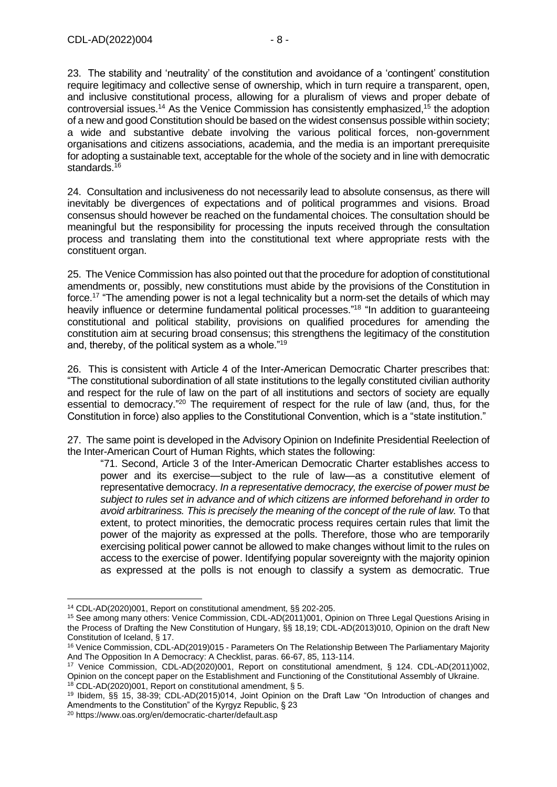23. The stability and 'neutrality' of the constitution and avoidance of a 'contingent' constitution require legitimacy and collective sense of ownership, which in turn require a transparent, open, and inclusive constitutional process, allowing for a pluralism of views and proper debate of controversial issues.<sup>14</sup> As the Venice Commission has consistently emphasized,<sup>15</sup> the adoption of a new and good Constitution should be based on the widest consensus possible within society; a wide and substantive debate involving the various political forces, non-government organisations and citizens associations, academia, and the media is an important prerequisite for adopting a sustainable text, acceptable for the whole of the society and in line with democratic standards.<sup>16</sup>

24. Consultation and inclusiveness do not necessarily lead to absolute consensus, as there will inevitably be divergences of expectations and of political programmes and visions. Broad consensus should however be reached on the fundamental choices. The consultation should be meaningful but the responsibility for processing the inputs received through the consultation process and translating them into the constitutional text where appropriate rests with the constituent organ.

25. The Venice Commission has also pointed out that the procedure for adoption of constitutional amendments or, possibly, new constitutions must abide by the provisions of the Constitution in force.<sup>17</sup> "The amending power is not a legal technicality but a norm-set the details of which may heavily influence or determine fundamental political processes."<sup>18</sup> "In addition to guaranteeing constitutional and political stability, provisions on qualified procedures for amending the constitution aim at securing broad consensus; this strengthens the legitimacy of the constitution and, thereby, of the political system as a whole."<sup>19</sup>

26. This is consistent with Article 4 of the Inter-American Democratic Charter prescribes that: "The constitutional subordination of all state institutions to the legally constituted civilian authority and respect for the rule of law on the part of all institutions and sectors of society are equally essential to democracy."<sup>20</sup> The requirement of respect for the rule of law (and, thus, for the Constitution in force) also applies to the Constitutional Convention, which is a "state institution."

27. The same point is developed in the Advisory Opinion on Indefinite Presidential Reelection of the Inter-American Court of Human Rights, which states the following:

"71. Second, Article 3 of the Inter-American Democratic Charter establishes access to power and its exercise—subject to the rule of law—as a constitutive element of representative democracy. *In a representative democracy, the exercise of power must be subject to rules set in advance and of which citizens are informed beforehand in order to avoid arbitrariness. This is precisely the meaning of the concept of the rule of law.* To that extent, to protect minorities, the democratic process requires certain rules that limit the power of the majority as expressed at the polls. Therefore, those who are temporarily exercising political power cannot be allowed to make changes without limit to the rules on access to the exercise of power. Identifying popular sovereignty with the majority opinion as expressed at the polls is not enough to classify a system as democratic. True

<sup>14</sup> CDL-AD(2020)001, Report on constitutional amendment, §§ 202-205.

<sup>15</sup> See among many others: Venice Commission, CDL-AD(2011)001, Opinion on Three Legal Questions Arising in the Process of Drafting the New Constitution of Hungary, §§ 18,19; CDL-AD(2013)010, Opinion on the draft New Constitution of Iceland, § 17.

<sup>16</sup> Venice Commission, CDL-AD(2019)015 - Parameters On The Relationship Between The Parliamentary Majority And The Opposition In A Democracy: A Checklist, paras. 66-67, 85, 113-114.

<sup>17</sup> Venice Commission, CDL-AD(2020)001, Report on constitutional amendment, § 124. CDL-AD(2011)002, Opinion on the concept paper on the Establishment and Functioning of the Constitutional Assembly of Ukraine. <sup>18</sup> CDL-AD(2020)001, Report on constitutional amendment, § 5.

<sup>19</sup> Ibidem, §§ 15, 38-39; CDL-AD(2015)014, Joint Opinion on the Draft Law "On Introduction of changes and Amendments to the Constitution" of the Kyrgyz Republic, § 23

<sup>20</sup> https://www.oas.org/en/democratic-charter/default.asp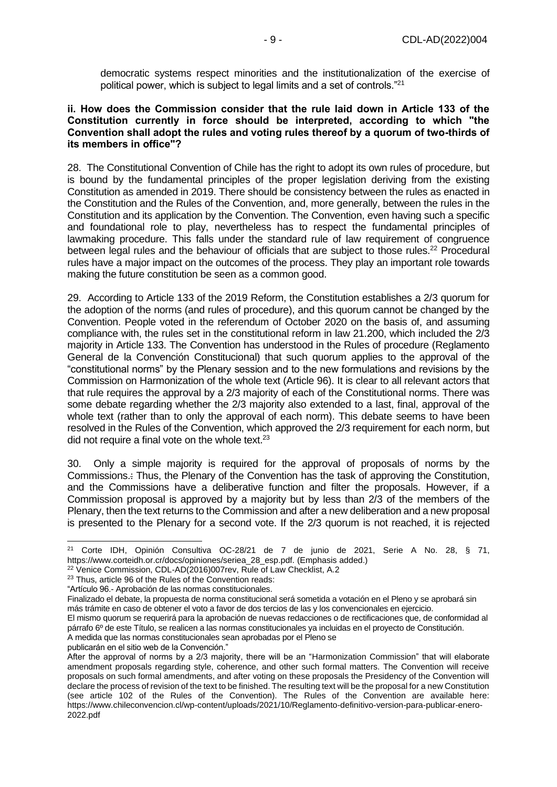democratic systems respect minorities and the institutionalization of the exercise of political power, which is subject to legal limits and a set of controls."<sup>21</sup>

### <span id="page-8-0"></span>**ii. How does the Commission consider that the rule laid down in Article 133 of the Constitution currently in force should be interpreted, according to which "the Convention shall adopt the rules and voting rules thereof by a quorum of two-thirds of its members in office"?**

28. The Constitutional Convention of Chile has the right to adopt its own rules of procedure, but is bound by the fundamental principles of the proper legislation deriving from the existing Constitution as amended in 2019. There should be consistency between the rules as enacted in the Constitution and the Rules of the Convention, and, more generally, between the rules in the Constitution and its application by the Convention. The Convention, even having such a specific and foundational role to play, nevertheless has to respect the fundamental principles of lawmaking procedure. This falls under the standard rule of law requirement of congruence between legal rules and the behaviour of officials that are subject to those rules.<sup>22</sup> Procedural rules have a major impact on the outcomes of the process. They play an important role towards making the future constitution be seen as a common good.

29. According to Article 133 of the 2019 Reform, the Constitution establishes a 2/3 quorum for the adoption of the norms (and rules of procedure), and this quorum cannot be changed by the Convention. People voted in the referendum of October 2020 on the basis of, and assuming compliance with, the rules set in the constitutional reform in law 21.200, which included the 2/3 majority in Article 133. The Convention has understood in the Rules of procedure (Reglamento General de la Convención Constitucional) that such quorum applies to the approval of the "constitutional norms" by the Plenary session and to the new formulations and revisions by the Commission on Harmonization of the whole text (Article 96). It is clear to all relevant actors that that rule requires the approval by a 2/3 majority of each of the Constitutional norms. There was some debate regarding whether the 2/3 majority also extended to a last, final, approval of the whole text (rather than to only the approval of each norm). This debate seems to have been resolved in the Rules of the Convention, which approved the 2/3 requirement for each norm, but did not require a final vote on the whole text. $23$ 

30. Only a simple majority is required for the approval of proposals of norms by the Commissions.: Thus, the Plenary of the Convention has the task of approving the Constitution, and the Commissions have a deliberative function and filter the proposals. However, if a Commission proposal is approved by a majority but by less than 2/3 of the members of the Plenary, then the text returns to the Commission and after a new deliberation and a new proposal is presented to the Plenary for a second vote. If the 2/3 quorum is not reached, it is rejected

A medida que las normas constitucionales sean aprobadas por el Pleno se

<sup>21</sup> Corte IDH, Opinión Consultiva OC-28/21 de 7 de junio de 2021, Serie A No. 28, § 71, https://www.corteidh.or.cr/docs/opiniones/seriea\_28\_esp.pdf. (Emphasis added.)

<sup>22</sup> Venice Commission, CDL-AD(2016)007rev, Rule of Law Checklist, A.2

<sup>23</sup> Thus, article 96 of the Rules of the Convention reads:

<sup>&</sup>quot;Artículo 96.- Aprobación de las normas constitucionales.

Finalizado el debate, la propuesta de norma constitucional será sometida a votación en el Pleno y se aprobará sin más trámite en caso de obtener el voto a favor de dos tercios de las y los convencionales en ejercicio.

El mismo quorum se requerirá para la aprobación de nuevas redacciones o de rectificaciones que, de conformidad al párrafo 6º de este Título, se realicen a las normas constitucionales ya incluidas en el proyecto de Constitución.

publicarán en el sitio web de la Convención."

After the approval of norms by a 2/3 majority, there will be an "Harmonization Commission" that will elaborate amendment proposals regarding style, coherence, and other such formal matters. The Convention will receive proposals on such formal amendments, and after voting on these proposals the Presidency of the Convention will declare the process of revision of the text to be finished. The resulting text will be the proposal for a new Constitution (see article 102 of the Rules of the Convention). The Rules of the Convention are available here: https://www.chileconvencion.cl/wp-content/uploads/2021/10/Reglamento-definitivo-version-para-publicar-enero-2022.pdf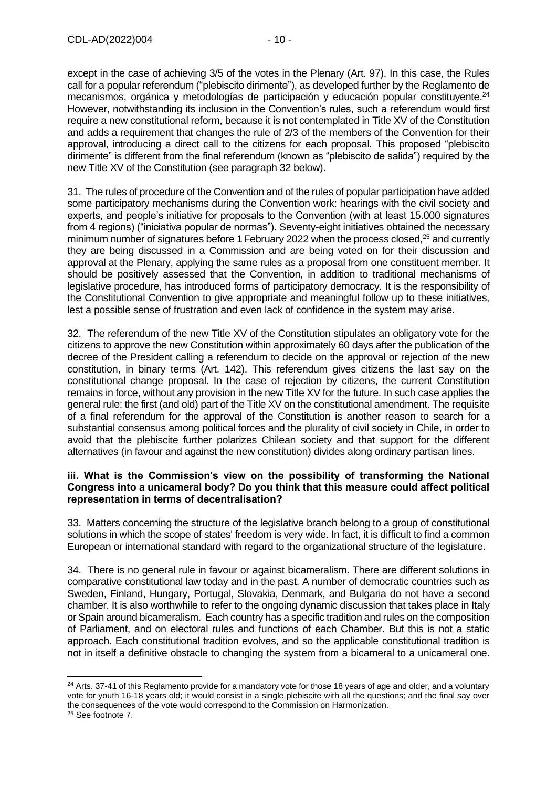except in the case of achieving 3/5 of the votes in the Plenary (Art. 97). In this case, the Rules call for a popular referendum ("plebiscito dirimente"), as developed further by the Reglamento de mecanismos, orgánica y metodologías de participación y educación popular constituyente.<sup>24</sup> However, notwithstanding its inclusion in the Convention's rules, such a referendum would first require a new constitutional reform, because it is not contemplated in Title XV of the Constitution and adds a requirement that changes the rule of 2/3 of the members of the Convention for their approval, introducing a direct call to the citizens for each proposal. This proposed "plebiscito dirimente" is different from the final referendum (known as "plebiscito de salida") required by the new Title XV of the Constitution (see paragraph 32 below).

31. The rules of procedure of the Convention and of the rules of popular participation have added some participatory mechanisms during the Convention work: hearings with the civil society and experts, and people's initiative for proposals to the Convention (with at least 15.000 signatures from 4 regions) ("iniciativa popular de normas"). Seventy-eight initiatives obtained the necessary minimum number of signatures before 1 February 2022 when the process closed,<sup>25</sup> and currently they are being discussed in a Commission and are being voted on for their discussion and approval at the Plenary, applying the same rules as a proposal from one constituent member. It should be positively assessed that the Convention, in addition to traditional mechanisms of legislative procedure, has introduced forms of participatory democracy. It is the responsibility of the Constitutional Convention to give appropriate and meaningful follow up to these initiatives, lest a possible sense of frustration and even lack of confidence in the system may arise.

32. The referendum of the new Title XV of the Constitution stipulates an obligatory vote for the citizens to approve the new Constitution within approximately 60 days after the publication of the decree of the President calling a referendum to decide on the approval or rejection of the new constitution, in binary terms (Art. 142). This referendum gives citizens the last say on the constitutional change proposal. In the case of rejection by citizens, the current Constitution remains in force, without any provision in the new Title XV for the future. In such case applies the general rule: the first (and old) part of the Title XV on the constitutional amendment. The requisite of a final referendum for the approval of the Constitution is another reason to search for a substantial consensus among political forces and the plurality of civil society in Chile, in order to avoid that the plebiscite further polarizes Chilean society and that support for the different alternatives (in favour and against the new constitution) divides along ordinary partisan lines.

### <span id="page-9-0"></span>**iii. What is the Commission's view on the possibility of transforming the National Congress into a unicameral body? Do you think that this measure could affect political representation in terms of decentralisation?**

33. Matters concerning the structure of the legislative branch belong to a group of constitutional solutions in which the scope of states' freedom is very wide. In fact, it is difficult to find a common European or international standard with regard to the organizational structure of the legislature.

34. There is no general rule in favour or against bicameralism. There are different solutions in comparative constitutional law today and in the past. A number of democratic countries such as Sweden, Finland, Hungary, Portugal, Slovakia, Denmark, and Bulgaria do not have a second chamber. It is also worthwhile to refer to the ongoing dynamic discussion that takes place in Italy or Spain around bicameralism. Each country has a specific tradition and rules on the composition of Parliament, and on electoral rules and functions of each Chamber. But this is not a static approach. Each constitutional tradition evolves, and so the applicable constitutional tradition is not in itself a definitive obstacle to changing the system from a bicameral to a unicameral one.

<sup>&</sup>lt;sup>24</sup> Arts. 37-41 of this Reglamento provide for a mandatory vote for those 18 years of age and older, and a voluntary vote for youth 16-18 years old; it would consist in a single plebiscite with all the questions; and the final say over the consequences of the vote would correspond to the Commission on Harmonization.

<sup>25</sup> See footnote 7.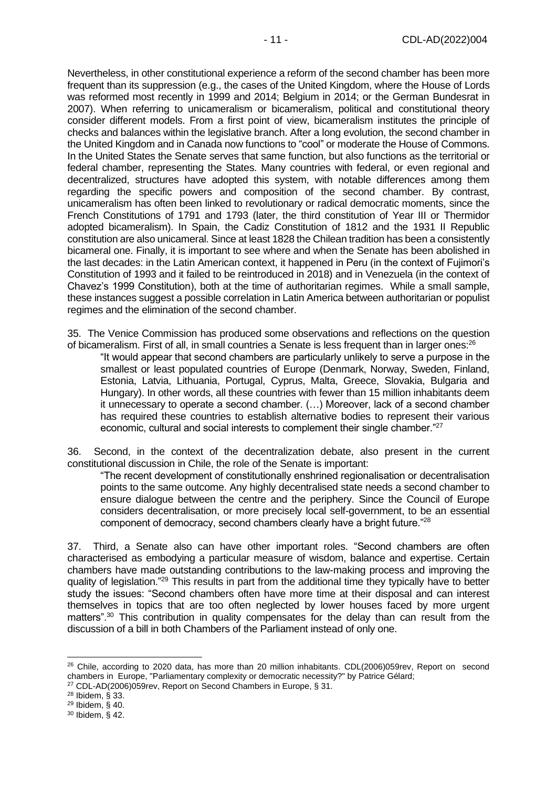Nevertheless, in other constitutional experience a reform of the second chamber has been more frequent than its suppression (e.g., the cases of the United Kingdom, where the House of Lords was reformed most recently in 1999 and 2014; Belgium in 2014; or the German Bundesrat in 2007). When referring to unicameralism or bicameralism, political and constitutional theory consider different models. From a first point of view, bicameralism institutes the principle of checks and balances within the legislative branch. After a long evolution, the second chamber in the United Kingdom and in Canada now functions to "cool" or moderate the House of Commons. In the United States the Senate serves that same function, but also functions as the territorial or federal chamber, representing the States. Many countries with federal, or even regional and decentralized, structures have adopted this system, with notable differences among them regarding the specific powers and composition of the second chamber. By contrast, unicameralism has often been linked to revolutionary or radical democratic moments, since the French Constitutions of 1791 and 1793 (later, the third constitution of Year III or Thermidor adopted bicameralism). In Spain, the Cadiz Constitution of 1812 and the 1931 II Republic constitution are also unicameral. Since at least 1828 the Chilean tradition has been a consistently bicameral one. Finally, it is important to see where and when the Senate has been abolished in the last decades: in the Latin American context, it happened in Peru (in the context of Fujimori's Constitution of 1993 and it failed to be reintroduced in 2018) and in Venezuela (in the context of Chavez's 1999 Constitution), both at the time of authoritarian regimes. While a small sample, these instances suggest a possible correlation in Latin America between authoritarian or populist regimes and the elimination of the second chamber.

35. The Venice Commission has produced some observations and reflections on the question of bicameralism. First of all, in small countries a Senate is less frequent than in larger ones:<sup>26</sup>

"It would appear that second chambers are particularly unlikely to serve a purpose in the smallest or least populated countries of Europe (Denmark, Norway, Sweden, Finland, Estonia, Latvia, Lithuania, Portugal, Cyprus, Malta, Greece, Slovakia, Bulgaria and Hungary). In other words, all these countries with fewer than 15 million inhabitants deem it unnecessary to operate a second chamber. (…) Moreover, lack of a second chamber has required these countries to establish alternative bodies to represent their various economic, cultural and social interests to complement their single chamber."<sup>27</sup>

36. Second, in the context of the decentralization debate, also present in the current constitutional discussion in Chile, the role of the Senate is important:

"The recent development of constitutionally enshrined regionalisation or decentralisation points to the same outcome. Any highly decentralised state needs a second chamber to ensure dialogue between the centre and the periphery. Since the Council of Europe considers decentralisation, or more precisely local self-government, to be an essential component of democracy, second chambers clearly have a bright future." $^{28}$ 

37. Third, a Senate also can have other important roles. "Second chambers are often characterised as embodying a particular measure of wisdom, balance and expertise. Certain chambers have made outstanding contributions to the law-making process and improving the quality of legislation."<sup>29</sup> This results in part from the additional time they typically have to better study the issues: "Second chambers often have more time at their disposal and can interest themselves in topics that are too often neglected by lower houses faced by more urgent matters".<sup>30</sup> This contribution in quality compensates for the delay than can result from the discussion of a bill in both Chambers of the Parliament instead of only one.

<sup>&</sup>lt;sup>26</sup> Chile, according to 2020 data, has more than 20 million inhabitants. CDL(2006)059rev, Report on second chambers in Europe, "Parliamentary complexity or democratic necessity?" by Patrice Gélard;

<sup>27</sup> CDL-AD(2006)059rev, Report on Second Chambers in Europe, § 31.

<sup>28</sup> Ibidem, § 33.

<sup>29</sup> Ibidem, § 40.

<sup>30</sup> Ibidem, § 42.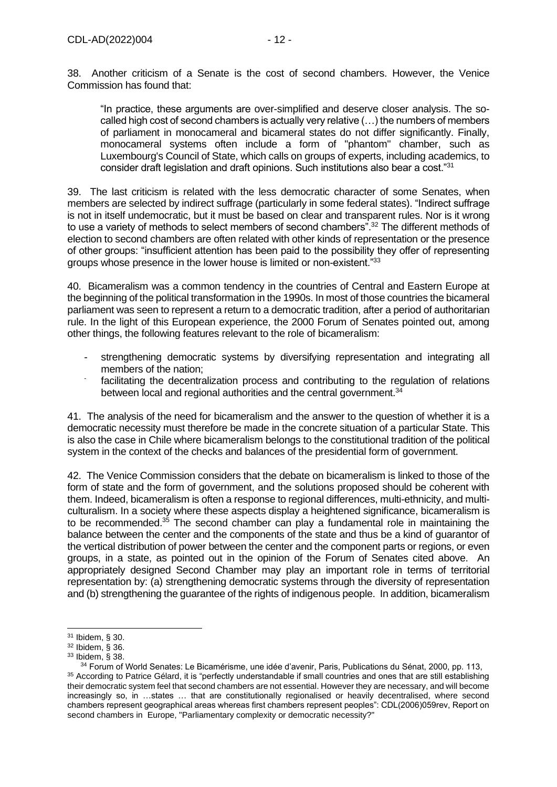38. Another criticism of a Senate is the cost of second chambers. However, the Venice Commission has found that:

"In practice, these arguments are over-simplified and deserve closer analysis. The socalled high cost of second chambers is actually very relative (…) the numbers of members of parliament in monocameral and bicameral states do not differ significantly. Finally, monocameral systems often include a form of "phantom" chamber, such as Luxembourg's Council of State, which calls on groups of experts, including academics, to consider draft legislation and draft opinions. Such institutions also bear a cost."<sup>31</sup>

39. The last criticism is related with the less democratic character of some Senates, when members are selected by indirect suffrage (particularly in some federal states). "Indirect suffrage is not in itself undemocratic, but it must be based on clear and transparent rules. Nor is it wrong to use a variety of methods to select members of second chambers".<sup>32</sup> The different methods of election to second chambers are often related with other kinds of representation or the presence of other groups: "insufficient attention has been paid to the possibility they offer of representing groups whose presence in the lower house is limited or non-existent."<sup>33</sup>

40. Bicameralism was a common tendency in the countries of Central and Eastern Europe at the beginning of the political transformation in the 1990s. In most of those countries the bicameral parliament was seen to represent a return to a democratic tradition, after a period of authoritarian rule. In the light of this European experience, the 2000 Forum of Senates pointed out, among other things, the following features relevant to the role of bicameralism:

- strengthening democratic systems by diversifying representation and integrating all members of the nation;
- facilitating the decentralization process and contributing to the regulation of relations between local and regional authorities and the central government.<sup>34</sup>

41. The analysis of the need for bicameralism and the answer to the question of whether it is a democratic necessity must therefore be made in the concrete situation of a particular State. This is also the case in Chile where bicameralism belongs to the constitutional tradition of the political system in the context of the checks and balances of the presidential form of government.

42. The Venice Commission considers that the debate on bicameralism is linked to those of the form of state and the form of government, and the solutions proposed should be coherent with them. Indeed, bicameralism is often a response to regional differences, multi-ethnicity, and multiculturalism. In a society where these aspects display a heightened significance, bicameralism is to be recommended.<sup>35</sup> The second chamber can play a fundamental role in maintaining the balance between the center and the components of the state and thus be a kind of guarantor of the vertical distribution of power between the center and the component parts or regions, or even groups, in a state, as pointed out in the opinion of the Forum of Senates cited above. An appropriately designed Second Chamber may play an important role in terms of territorial representation by: (a) strengthening democratic systems through the diversity of representation and (b) strengthening the guarantee of the rights of indigenous people. In addition, bicameralism

<sup>33</sup> Ibidem, § 38.

<sup>31</sup> Ibidem, § 30.

<sup>32</sup> Ibidem, § 36.

<sup>34</sup> Forum of World Senates: Le Bicamérisme, une idée d'avenir, Paris, Publications du Sénat, 2000, pp. 113, 35 According to Patrice Gélard, it is "perfectly understandable if small countries and ones that are still establishing their democratic system feel that second chambers are not essential. However they are necessary, and will become increasingly so, in …states … that are constitutionally regionalised or heavily decentralised, where second chambers represent geographical areas whereas first chambers represent peoples": CDL(2006)059rev, Report on second chambers in Europe, "Parliamentary complexity or democratic necessity?"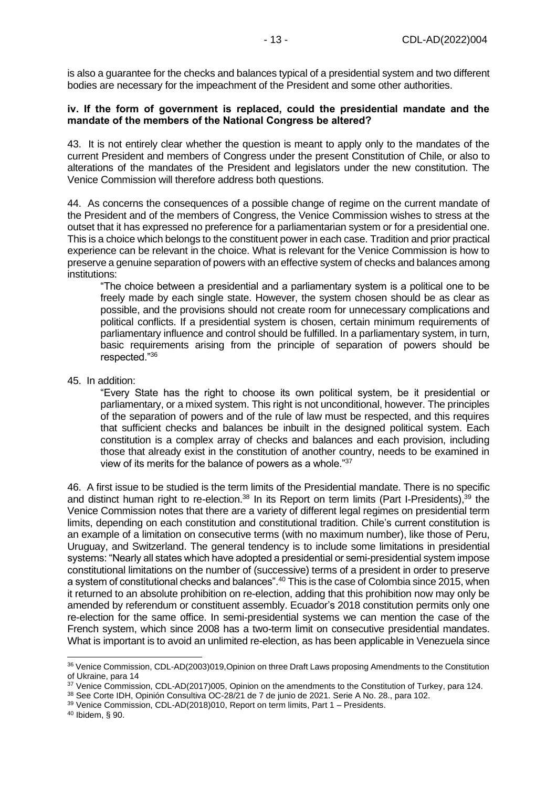is also a guarantee for the checks and balances typical of a presidential system and two different bodies are necessary for the impeachment of the President and some other authorities.

### <span id="page-12-0"></span>**iv. If the form of government is replaced, could the presidential mandate and the mandate of the members of the National Congress be altered?**

43. It is not entirely clear whether the question is meant to apply only to the mandates of the current President and members of Congress under the present Constitution of Chile, or also to alterations of the mandates of the President and legislators under the new constitution. The Venice Commission will therefore address both questions.

44. As concerns the consequences of a possible change of regime on the current mandate of the President and of the members of Congress, the Venice Commission wishes to stress at the outset that it has expressed no preference for a parliamentarian system or for a presidential one. This is a choice which belongs to the constituent power in each case. Tradition and prior practical experience can be relevant in the choice. What is relevant for the Venice Commission is how to preserve a genuine separation of powers with an effective system of checks and balances among institutions:

"The choice between a presidential and a parliamentary system is a political one to be freely made by each single state. However, the system chosen should be as clear as possible, and the provisions should not create room for unnecessary complications and political conflicts. If a presidential system is chosen, certain minimum requirements of parliamentary influence and control should be fulfilled. In a parliamentary system, in turn, basic requirements arising from the principle of separation of powers should be respected."<sup>36</sup>

#### 45. In addition:

"Every State has the right to choose its own political system, be it presidential or parliamentary, or a mixed system. This right is not unconditional, however. The principles of the separation of powers and of the rule of law must be respected, and this requires that sufficient checks and balances be inbuilt in the designed political system. Each constitution is a complex array of checks and balances and each provision, including those that already exist in the constitution of another country, needs to be examined in view of its merits for the balance of powers as a whole."<sup>37</sup>

46. A first issue to be studied is the term limits of the Presidential mandate. There is no specific and distinct human right to re-election.<sup>38</sup> In its Report on term limits (Part I-Presidents),<sup>39</sup> the Venice Commission notes that there are a variety of different legal regimes on presidential term limits, depending on each constitution and constitutional tradition. Chile's current constitution is an example of a limitation on consecutive terms (with no maximum number), like those of Peru, Uruguay, and Switzerland. The general tendency is to include some limitations in presidential systems: "Nearly all states which have adopted a presidential or semi-presidential system impose constitutional limitations on the number of (successive) terms of a president in order to preserve a system of constitutional checks and balances".<sup>40</sup> This is the case of Colombia since 2015, when it returned to an absolute prohibition on re-election, adding that this prohibition now may only be amended by referendum or constituent assembly. Ecuador's 2018 constitution permits only one re-election for the same office. In semi-presidential systems we can mention the case of the French system, which since 2008 has a two-term limit on consecutive presidential mandates. What is important is to avoid an unlimited re-election, as has been applicable in Venezuela since

<sup>36</sup> Venice Commission, CDL-AD(2003)019,Opinion on three Draft Laws proposing Amendments to the Constitution of Ukraine, para 14

<sup>&</sup>lt;sup>37</sup> Venice Commission, CDL-AD(2017)005, Opinion on the amendments to the Constitution of Turkey, para 124.

<sup>38</sup> See Corte IDH, Opinión Consultiva OC-28/21 de 7 de junio de 2021. Serie A No. 28., para 102.

<sup>39</sup> Venice Commission, CDL-AD(2018)010, Report on term limits, Part 1 – Presidents.

<sup>40</sup> Ibidem, § 90.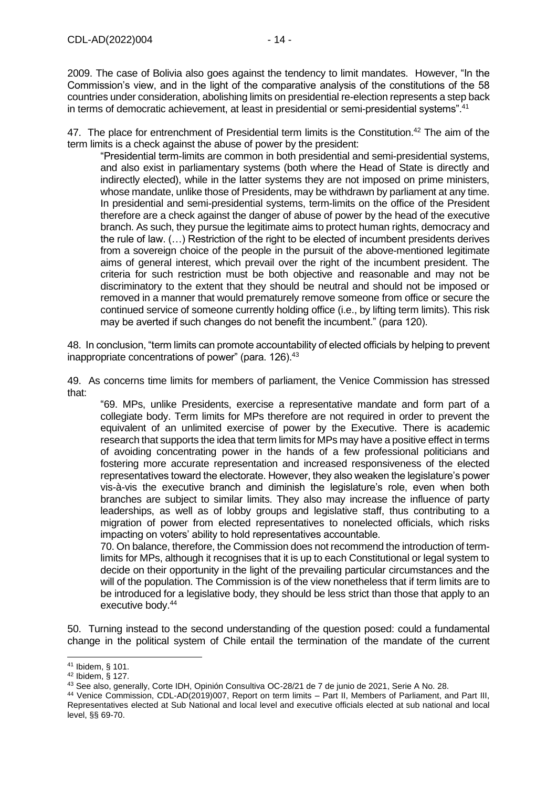2009. The case of Bolivia also goes against the tendency to limit mandates. However, "In the Commission's view, and in the light of the comparative analysis of the constitutions of the 58 countries under consideration, abolishing limits on presidential re-election represents a step back in terms of democratic achievement, at least in presidential or semi-presidential systems".<sup>41</sup>

47. The place for entrenchment of Presidential term limits is the Constitution.<sup>42</sup> The aim of the term limits is a check against the abuse of power by the president:

"Presidential term-limits are common in both presidential and semi-presidential systems, and also exist in parliamentary systems (both where the Head of State is directly and indirectly elected), while in the latter systems they are not imposed on prime ministers, whose mandate, unlike those of Presidents, may be withdrawn by parliament at any time. In presidential and semi-presidential systems, term-limits on the office of the President therefore are a check against the danger of abuse of power by the head of the executive branch. As such, they pursue the legitimate aims to protect human rights, democracy and the rule of law. (…) Restriction of the right to be elected of incumbent presidents derives from a sovereign choice of the people in the pursuit of the above-mentioned legitimate aims of general interest, which prevail over the right of the incumbent president. The criteria for such restriction must be both objective and reasonable and may not be discriminatory to the extent that they should be neutral and should not be imposed or removed in a manner that would prematurely remove someone from office or secure the continued service of someone currently holding office (i.e., by lifting term limits). This risk may be averted if such changes do not benefit the incumbent." (para 120).

48. In conclusion, "term limits can promote accountability of elected officials by helping to prevent inappropriate concentrations of power" (para. 126).<sup>43</sup>

49. As concerns time limits for members of parliament, the Venice Commission has stressed that:

"69. MPs, unlike Presidents, exercise a representative mandate and form part of a collegiate body. Term limits for MPs therefore are not required in order to prevent the equivalent of an unlimited exercise of power by the Executive. There is academic research that supports the idea that term limits for MPs may have a positive effect in terms of avoiding concentrating power in the hands of a few professional politicians and fostering more accurate representation and increased responsiveness of the elected representatives toward the electorate. However, they also weaken the legislature's power vis-à-vis the executive branch and diminish the legislature's role, even when both branches are subject to similar limits. They also may increase the influence of party leaderships, as well as of lobby groups and legislative staff, thus contributing to a migration of power from elected representatives to nonelected officials, which risks impacting on voters' ability to hold representatives accountable.

70. On balance, therefore, the Commission does not recommend the introduction of termlimits for MPs, although it recognises that it is up to each Constitutional or legal system to decide on their opportunity in the light of the prevailing particular circumstances and the will of the population. The Commission is of the view nonetheless that if term limits are to be introduced for a legislative body, they should be less strict than those that apply to an executive body.<sup>44</sup>

50. Turning instead to the second understanding of the question posed: could a fundamental change in the political system of Chile entail the termination of the mandate of the current

<sup>41</sup> Ibidem, § 101.

<sup>42</sup> Ibidem, § 127.

<sup>43</sup> See also, generally, Corte IDH, Opinión Consultiva OC-28/21 de 7 de junio de 2021, Serie A No. 28.

<sup>44</sup> Venice Commission, CDL-AD(2019)007, Report on term limits – Part II, Members of Parliament, and Part III, Representatives elected at Sub National and local level and executive officials elected at sub national and local level, §§ 69-70.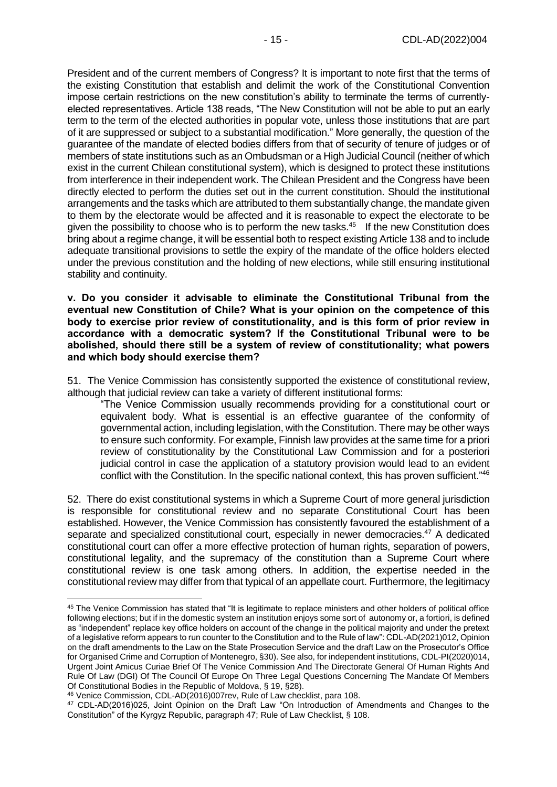President and of the current members of Congress? It is important to note first that the terms of the existing Constitution that establish and delimit the work of the Constitutional Convention impose certain restrictions on the new constitution's ability to terminate the terms of currentlyelected representatives. Article 138 reads, "The New Constitution will not be able to put an early term to the term of the elected authorities in popular vote, unless those institutions that are part of it are suppressed or subject to a substantial modification." More generally, the question of the guarantee of the mandate of elected bodies differs from that of security of tenure of judges or of members of state institutions such as an Ombudsman or a High Judicial Council (neither of which exist in the current Chilean constitutional system), which is designed to protect these institutions from interference in their independent work. The Chilean President and the Congress have been directly elected to perform the duties set out in the current constitution. Should the institutional arrangements and the tasks which are attributed to them substantially change, the mandate given to them by the electorate would be affected and it is reasonable to expect the electorate to be given the possibility to choose who is to perform the new tasks. $45$  If the new Constitution does bring about a regime change, it will be essential both to respect existing Article 138 and to include adequate transitional provisions to settle the expiry of the mandate of the office holders elected under the previous constitution and the holding of new elections, while still ensuring institutional stability and continuity.

#### <span id="page-14-0"></span>**v. Do you consider it advisable to eliminate the Constitutional Tribunal from the eventual new Constitution of Chile? What is your opinion on the competence of this body to exercise prior review of constitutionality, and is this form of prior review in accordance with a democratic system? If the Constitutional Tribunal were to be abolished, should there still be a system of review of constitutionality; what powers and which body should exercise them?**

51. The Venice Commission has consistently supported the existence of constitutional review, although that judicial review can take a variety of different institutional forms:

"The Venice Commission usually recommends providing for a constitutional court or equivalent body. What is essential is an effective guarantee of the conformity of governmental action, including legislation, with the Constitution. There may be other ways to ensure such conformity. For example, Finnish law provides at the same time for a priori review of constitutionality by the Constitutional Law Commission and for a posteriori judicial control in case the application of a statutory provision would lead to an evident conflict with the Constitution. In the specific national context, this has proven sufficient."<sup>46</sup>

52. There do exist constitutional systems in which a Supreme Court of more general jurisdiction is responsible for constitutional review and no separate Constitutional Court has been established. However, the Venice Commission has consistently favoured the establishment of a separate and specialized constitutional court, especially in newer democracies.<sup>47</sup> A dedicated constitutional court can offer a more effective protection of human rights, separation of powers, constitutional legality, and the supremacy of the constitution than a Supreme Court where constitutional review is one task among others. In addition, the expertise needed in the constitutional review may differ from that typical of an appellate court. Furthermore, the legitimacy

<sup>45</sup> The Venice Commission has stated that "It is legitimate to replace ministers and other holders of political office following elections; but if in the domestic system an institution enjoys some sort of autonomy or, a fortiori, is defined as "independent" replace key office holders on account of the change in the political majority and under the pretext of a legislative reform appears to run counter to the Constitution and to the Rule of law": CDL-AD(2021)012, Opinion on the draft amendments to the Law on the State Prosecution Service and the draft Law on the Prosecutor's Office for Organised Crime and Corruption of Montenegro, §30). See also, for independent institutions, CDL-PI(2020)014, Urgent Joint Amicus Curiae Brief Of The Venice Commission And The Directorate General Of Human Rights And Rule Of Law (DGI) Of The Council Of Europe On Three Legal Questions Concerning The Mandate Of Members Of Constitutional Bodies in the Republic of Moldova, § 19, §28).

<sup>46</sup> Venice Commission, CDL-AD(2016)007rev, Rule of Law checklist, para 108.

<sup>47</sup> CDL-AD(2016)025, Joint Opinion on the Draft Law "On Introduction of Amendments and Changes to the Constitution" of the Kyrgyz Republic, paragraph 47; Rule of Law Checklist, § 108.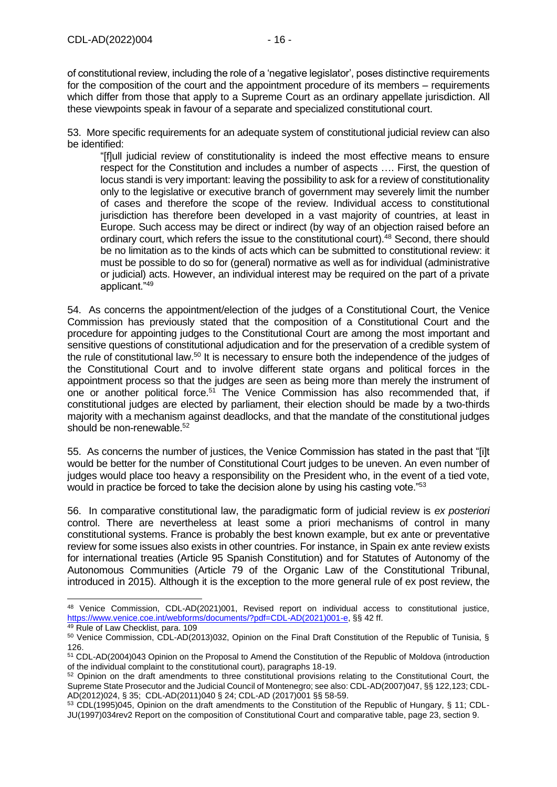of constitutional review, including the role of a 'negative legislator', poses distinctive requirements for the composition of the court and the appointment procedure of its members – requirements which differ from those that apply to a Supreme Court as an ordinary appellate jurisdiction. All these viewpoints speak in favour of a separate and specialized constitutional court.

53. More specific requirements for an adequate system of constitutional judicial review can also be identified:

"[f]ull judicial review of constitutionality is indeed the most effective means to ensure respect for the Constitution and includes a number of aspects …. First, the question of locus standi is very important: leaving the possibility to ask for a review of constitutionality only to the legislative or executive branch of government may severely limit the number of cases and therefore the scope of the review. Individual access to constitutional jurisdiction has therefore been developed in a vast majority of countries, at least in Europe. Such access may be direct or indirect (by way of an objection raised before an ordinary court, which refers the issue to the constitutional court).<sup>48</sup> Second, there should be no limitation as to the kinds of acts which can be submitted to constitutional review: it must be possible to do so for (general) normative as well as for individual (administrative or judicial) acts. However, an individual interest may be required on the part of a private applicant."<sup>49</sup>

54. As concerns the appointment/election of the judges of a Constitutional Court, the Venice Commission has previously stated that the composition of a Constitutional Court and the procedure for appointing judges to the Constitutional Court are among the most important and sensitive questions of constitutional adjudication and for the preservation of a credible system of the rule of constitutional law.<sup>50</sup> It is necessary to ensure both the independence of the judges of the Constitutional Court and to involve different state organs and political forces in the appointment process so that the judges are seen as being more than merely the instrument of one or another political force.<sup>51</sup> The Venice Commission has also recommended that, if constitutional judges are elected by parliament, their election should be made by a two-thirds majority with a mechanism against deadlocks, and that the mandate of the constitutional judges should be non-renewable. 52

55. As concerns the number of justices, the Venice Commission has stated in the past that "[i]t would be better for the number of Constitutional Court judges to be uneven. An even number of judges would place too heavy a responsibility on the President who, in the event of a tied vote, would in practice be forced to take the decision alone by using his casting vote."<sup>53</sup>

56. In comparative constitutional law, the paradigmatic form of judicial review is *ex posteriori* control. There are nevertheless at least some a priori mechanisms of control in many constitutional systems. France is probably the best known example, but ex ante or preventative review for some issues also exists in other countries. For instance, in Spain ex ante review exists for international treaties (Article 95 Spanish Constitution) and for Statutes of Autonomy of the Autonomous Communities (Article 79 of the Organic Law of the Constitutional Tribunal, introduced in 2015). Although it is the exception to the more general rule of ex post review, the

<sup>48</sup> Venice Commission, CDL-AD(2021)001, Revised report on individual access to constitutional justice, [https://www.venice.coe.int/webforms/documents/?pdf=CDL-AD\(2021\)001-e,](https://www.venice.coe.int/webforms/documents/?pdf=CDL-AD(2021)001-e) §§ 42 ff.

<sup>49</sup> Rule of Law Checklist, para. 109

<sup>50</sup> Venice Commission, CDL-AD(2013)032, Opinion on the Final Draft Constitution of the Republic of Tunisia, § 126.

<sup>51</sup> CDL-AD(2004)043 Opinion on the Proposal to Amend the Constitution of the Republic of Moldova (introduction of the individual complaint to the constitutional court), paragraphs 18-19.

<sup>52</sup> Opinion on the draft amendments to three constitutional provisions relating to the Constitutional Court, the Supreme State Prosecutor and the Judicial Council of Montenegro; see also: CDL-AD(2007)047, §§ 122,123; CDL-AD(2012)024, § 35; CDL-AD(2011)040 § 24; CDL-AD (2017)001 §§ 58-59.

<sup>53</sup> CDL(1995)045, Opinion on the draft amendments to the Constitution of the Republic of Hungary, § 11; CDL-JU(1997)034rev2 Report on the composition of Constitutional Court and comparative table, page 23, section 9.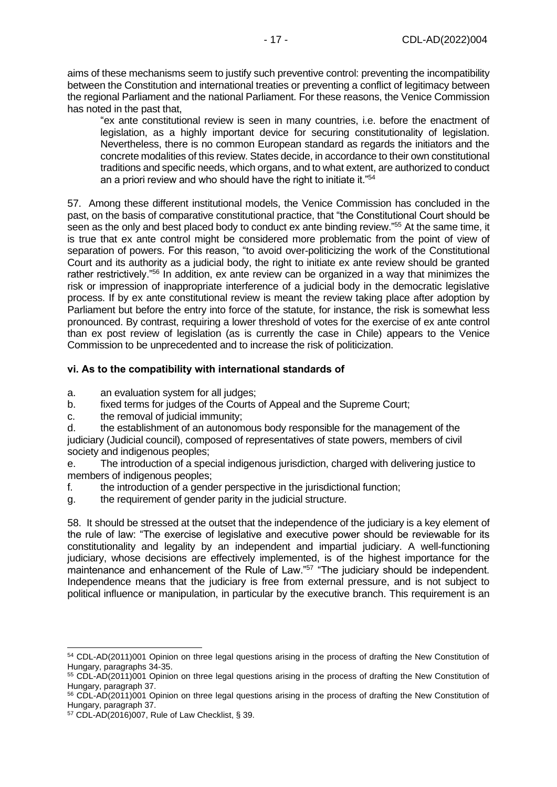aims of these mechanisms seem to justify such preventive control: preventing the incompatibility between the Constitution and international treaties or preventing a conflict of legitimacy between the regional Parliament and the national Parliament. For these reasons, the Venice Commission has noted in the past that,

"ex ante constitutional review is seen in many countries, i.e. before the enactment of legislation, as a highly important device for securing constitutionality of legislation. Nevertheless, there is no common European standard as regards the initiators and the concrete modalities of this review. States decide, in accordance to their own constitutional traditions and specific needs, which organs, and to what extent, are authorized to conduct an a priori review and who should have the right to initiate it."<sup>54</sup>

57. Among these different institutional models, the Venice Commission has concluded in the past, on the basis of comparative constitutional practice, that "the Constitutional Court should be seen as the only and best placed body to conduct ex ante binding review."<sup>55</sup> At the same time, it is true that ex ante control might be considered more problematic from the point of view of separation of powers. For this reason, "to avoid over-politicizing the work of the Constitutional Court and its authority as a judicial body, the right to initiate ex ante review should be granted rather restrictively."<sup>56</sup> In addition, ex ante review can be organized in a way that minimizes the risk or impression of inappropriate interference of a judicial body in the democratic legislative process. If by ex ante constitutional review is meant the review taking place after adoption by Parliament but before the entry into force of the statute, for instance, the risk is somewhat less pronounced. By contrast, requiring a lower threshold of votes for the exercise of ex ante control than ex post review of legislation (as is currently the case in Chile) appears to the Venice Commission to be unprecedented and to increase the risk of politicization.

# <span id="page-16-0"></span>**vi. As to the compatibility with international standards of**

a. an evaluation system for all judges;

- b. fixed terms for judges of the Courts of Appeal and the Supreme Court;
- c. the removal of judicial immunity;

d. the establishment of an autonomous body responsible for the management of the judiciary (Judicial council), composed of representatives of state powers, members of civil society and indigenous peoples;

e. The introduction of a special indigenous jurisdiction, charged with delivering justice to members of indigenous peoples;

f. the introduction of a gender perspective in the jurisdictional function;

g. the requirement of gender parity in the judicial structure.

58. It should be stressed at the outset that the independence of the judiciary is a key element of the rule of law: "The exercise of legislative and executive power should be reviewable for its constitutionality and legality by an independent and impartial judiciary. A well-functioning judiciary, whose decisions are effectively implemented, is of the highest importance for the maintenance and enhancement of the Rule of Law."<sup>57</sup> "The judiciary should be independent. Independence means that the judiciary is free from external pressure, and is not subject to political influence or manipulation, in particular by the executive branch. This requirement is an

<sup>54</sup> CDL-AD(2011)001 Opinion on three legal questions arising in the process of drafting the New Constitution of Hungary, paragraphs 34-35.

<sup>55</sup> CDL-AD(2011)001 Opinion on three legal questions arising in the process of drafting the New Constitution of Hungary, paragraph 37.

<sup>56</sup> CDL-AD(2011)001 Opinion on three legal questions arising in the process of drafting the New Constitution of Hungary, paragraph 37.

<sup>57</sup> CDL-AD(2016)007, Rule of Law Checklist, § 39.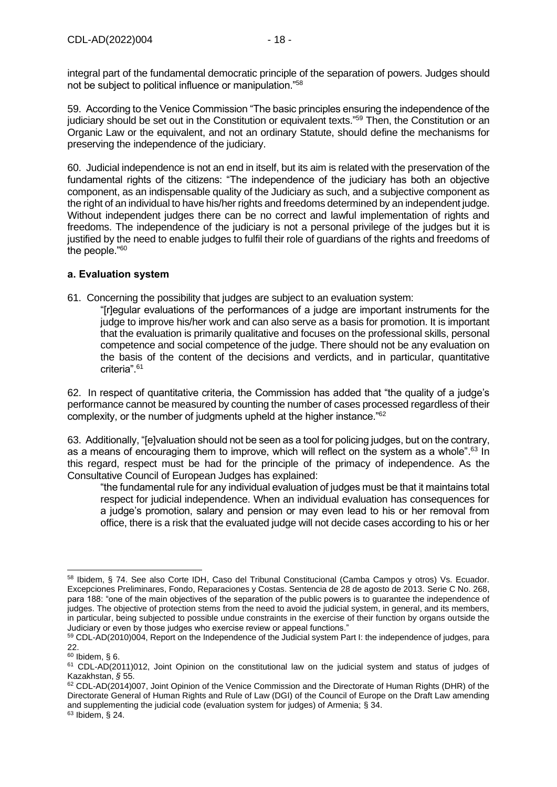integral part of the fundamental democratic principle of the separation of powers. Judges should not be subject to political influence or manipulation."<sup>58</sup>

59. According to the Venice Commission "The basic principles ensuring the independence of the judiciary should be set out in the Constitution or equivalent texts."<sup>59</sup> Then, the Constitution or an Organic Law or the equivalent, and not an ordinary Statute, should define the mechanisms for preserving the independence of the judiciary.

60. Judicial independence is not an end in itself, but its aim is related with the preservation of the fundamental rights of the citizens: "The independence of the judiciary has both an objective component, as an indispensable quality of the Judiciary as such, and a subjective component as the right of an individual to have his/her rights and freedoms determined by an independent judge. Without independent judges there can be no correct and lawful implementation of rights and freedoms. The independence of the judiciary is not a personal privilege of the judges but it is justified by the need to enable judges to fulfil their role of guardians of the rights and freedoms of the people."<sup>60</sup>

# <span id="page-17-0"></span>**a. Evaluation system**

61. Concerning the possibility that judges are subject to an evaluation system:

"[r]egular evaluations of the performances of a judge are important instruments for the judge to improve his/her work and can also serve as a basis for promotion. It is important that the evaluation is primarily qualitative and focuses on the professional skills, personal competence and social competence of the judge. There should not be any evaluation on the basis of the content of the decisions and verdicts, and in particular, quantitative criteria". 61

62. In respect of quantitative criteria, the Commission has added that "the quality of a judge's performance cannot be measured by counting the number of cases processed regardless of their complexity, or the number of judgments upheld at the higher instance."<sup>62</sup>

63. Additionally, "[e]valuation should not be seen as a tool for policing judges, but on the contrary, as a means of encouraging them to improve, which will reflect on the system as a whole".<sup>63</sup> In this regard, respect must be had for the principle of the primacy of independence. As the Consultative Council of European Judges has explained:

"the fundamental rule for any individual evaluation of judges must be that it maintains total respect for judicial independence. When an individual evaluation has consequences for a judge's promotion, salary and pension or may even lead to his or her removal from office, there is a risk that the evaluated judge will not decide cases according to his or her

<sup>58</sup> Ibidem, § 74. See also Corte IDH, Caso del Tribunal Constitucional (Camba Campos y otros) Vs. Ecuador. Excepciones Preliminares, Fondo, Reparaciones y Costas. Sentencia de 28 de agosto de 2013. Serie C No. 268, para 188: "one of the main objectives of the separation of the public powers is to guarantee the independence of judges. The objective of protection stems from the need to avoid the judicial system, in general, and its members, in particular, being subjected to possible undue constraints in the exercise of their function by organs outside the Judiciary or even by those judges who exercise review or appeal functions."

<sup>59</sup> CDL-AD(2010)004, Report on the Independence of the Judicial system Part I: the independence of judges, para 22.

 $60$  Ibidem, § 6.

<sup>61</sup> CDL-AD(2011)012, Joint Opinion on the constitutional law on the judicial system and status of judges of Kazakhstan, *§* 55.

<sup>62</sup> CDL-AD(2014)007, Joint Opinion of the Venice Commission and the Directorate of Human Rights (DHR) of the Directorate General of Human Rights and Rule of Law (DGI) of the Council of Europe on the Draft Law amending and supplementing the judicial code (evaluation system for judges) of Armenia; § 34. <sup>63</sup> Ibidem, § 24.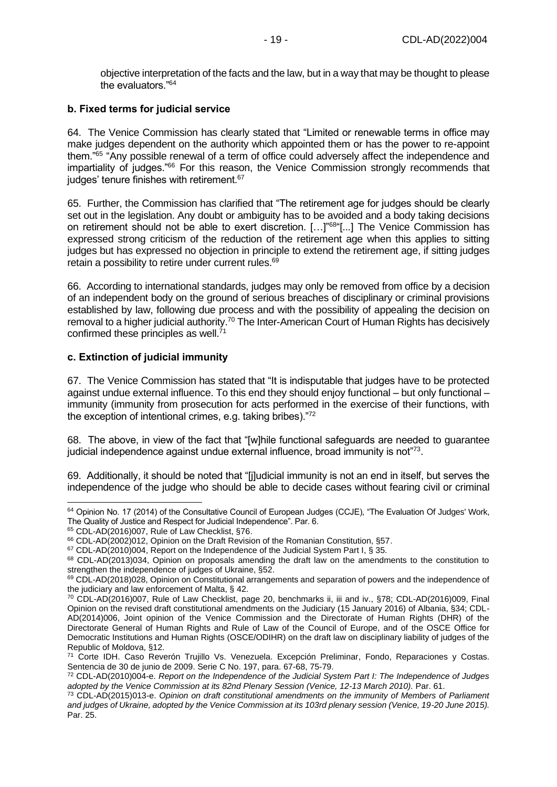objective interpretation of the facts and the law, but in a way that may be thought to please the evaluators."<sup>64</sup>

# <span id="page-18-0"></span>**b. Fixed terms for judicial service**

64. The Venice Commission has clearly stated that "Limited or renewable terms in office may make judges dependent on the authority which appointed them or has the power to re-appoint them."<sup>65</sup> "Any possible renewal of a term of office could adversely affect the independence and impartiality of judges."<sup>66</sup> For this reason, the Venice Commission strongly recommends that judges' tenure finishes with retirement.<sup>67</sup>

65. Further, the Commission has clarified that "The retirement age for judges should be clearly set out in the legislation. Any doubt or ambiguity has to be avoided and a body taking decisions on retirement should not be able to exert discretion. […]"<sup>68</sup>"[...] The Venice Commission has expressed strong criticism of the reduction of the retirement age when this applies to sitting judges but has expressed no objection in principle to extend the retirement age, if sitting judges retain a possibility to retire under current rules.<sup>69</sup>

66. According to international standards, judges may only be removed from office by a decision of an independent body on the ground of serious breaches of disciplinary or criminal provisions established by law, following due process and with the possibility of appealing the decision on removal to a higher judicial authority.<sup>70</sup> The Inter-American Court of Human Rights has decisively confirmed these principles as well. 71

# <span id="page-18-1"></span>**c. Extinction of judicial immunity**

67. The Venice Commission has stated that "It is indisputable that judges have to be protected against undue external influence. To this end they should enjoy functional – but only functional – immunity (immunity from prosecution for acts performed in the exercise of their functions, with the exception of intentional crimes, e.g. taking bribes)."<sup>72</sup>

68. The above, in view of the fact that "[w]hile functional safeguards are needed to guarantee judicial independence against undue external influence, broad immunity is not"<sup>73</sup>.

69. Additionally, it should be noted that "[j]udicial immunity is not an end in itself, but serves the independence of the judge who should be able to decide cases without fearing civil or criminal

<sup>&</sup>lt;sup>64</sup> Opinion No. 17 (2014) of the Consultative Council of European Judges (CCJE), "The Evaluation Of Judges' Work, The Quality of Justice and Respect for Judicial Independence". Par. 6.

<sup>65</sup> CDL-AD(2016)007, Rule of Law Checklist, §76.

<sup>66</sup> CDL-AD(2002)012, Opinion on the Draft Revision of the Romanian Constitution, §57.

<sup>67</sup> CDL-AD(2010)004, Report on the Independence of the Judicial System Part I, § 35.

<sup>68</sup> CDL-AD(2013)034, Opinion on proposals amending the draft law on the amendments to the constitution to strengthen the independence of judges of Ukraine, §52.

<sup>69</sup> CDL-AD(2018)028, Opinion on Constitutional arrangements and separation of powers and the independence of the judiciary and law enforcement of Malta, § 42.

<sup>70</sup> CDL-AD(2016)007, Rule of Law Checklist, page 20, benchmarks ii, iii and iv., §78; CDL-AD(2016)009, Final Opinion on the revised draft constitutional amendments on the Judiciary (15 January 2016) of Albania, §34; CDL-AD(2014)006, Joint opinion of the Venice Commission and the Directorate of Human Rights (DHR) of the Directorate General of Human Rights and Rule of Law of the Council of Europe, and of the OSCE Office for Democratic Institutions and Human Rights (OSCE/ODIHR) on the draft law on disciplinary liability of judges of the Republic of Moldova, §12.

<sup>71</sup> Corte IDH. Caso Reverón Trujillo Vs. Venezuela. Excepción Preliminar, Fondo, Reparaciones y Costas. Sentencia de 30 de junio de 2009. Serie C No. 197, para. 67-68, 75-79.

<sup>72</sup> CDL-AD(2010)004-e. *Report on the Independence of the Judicial System Part I: The Independence of Judges adopted by the Venice Commission at its 82nd Plenary Session (Venice, 12-13 March 2010).* Par. 61.

<sup>73</sup> CDL-AD(2015)013-e. *Opinion on draft constitutional amendments on the immunity of Members of Parliament and judges of Ukraine, adopted by the Venice Commission at its 103rd plenary session (Venice, 19-20 June 2015).* Par. 25.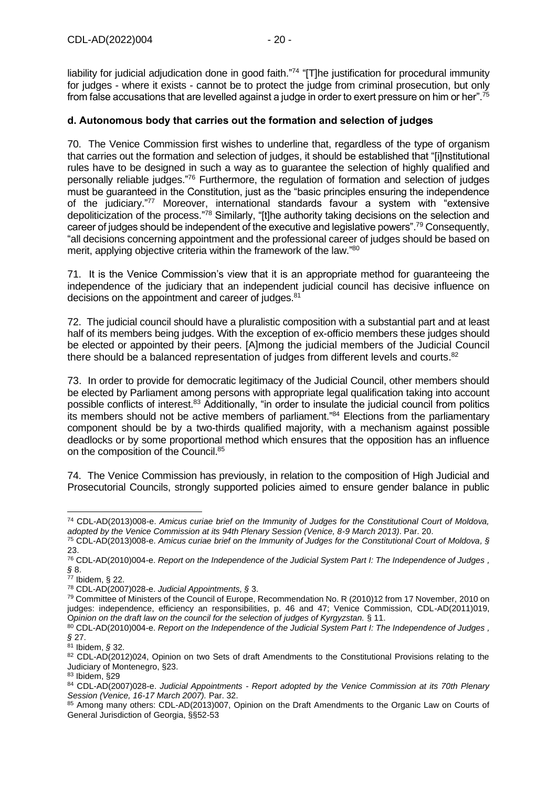liability for judicial adjudication done in good faith."<sup>74</sup> "[T]he justification for procedural immunity for judges - where it exists - cannot be to protect the judge from criminal prosecution, but only from false accusations that are levelled against a judge in order to exert pressure on him or her".<sup>75</sup>

# <span id="page-19-0"></span>**d. Autonomous body that carries out the formation and selection of judges**

70. The Venice Commission first wishes to underline that, regardless of the type of organism that carries out the formation and selection of judges, it should be established that "[i]nstitutional rules have to be designed in such a way as to guarantee the selection of highly qualified and personally reliable judges."<sup>76</sup> Furthermore, the regulation of formation and selection of judges must be guaranteed in the Constitution, just as the "basic principles ensuring the independence of the judiciary." <sup>77</sup> Moreover, international standards favour a system with "extensive depoliticization of the process."<sup>78</sup> Similarly, "[t]he authority taking decisions on the selection and career of judges should be independent of the executive and legislative powers".<sup>79</sup> Consequently, "all decisions concerning appointment and the professional career of judges should be based on merit, applying objective criteria within the framework of the law."80

71. It is the Venice Commission's view that it is an appropriate method for guaranteeing the independence of the judiciary that an independent judicial council has decisive influence on decisions on the appointment and career of judges.<sup>81</sup>

72. The judicial council should have a pluralistic composition with a substantial part and at least half of its members being judges. With the exception of ex-officio members these judges should be elected or appointed by their peers. [A]mong the judicial members of the Judicial Council there should be a balanced representation of judges from different levels and courts.<sup>82</sup>

73. In order to provide for democratic legitimacy of the Judicial Council, other members should be elected by Parliament among persons with appropriate legal qualification taking into account possible conflicts of interest.<sup>83</sup> Additionally, "in order to insulate the judicial council from politics its members should not be active members of parliament." <sup>84</sup> Elections from the parliamentary component should be by a two-thirds qualified majority, with a mechanism against possible deadlocks or by some proportional method which ensures that the opposition has an influence on the composition of the Council.<sup>85</sup>

74. The Venice Commission has previously, in relation to the composition of High Judicial and Prosecutorial Councils, strongly supported policies aimed to ensure gender balance in public

<sup>74</sup> CDL-AD(2013)008-e. *Amicus curiae brief on the Immunity of Judges for the Constitutional Court of Moldova, adopted by the Venice Commission at its 94th Plenary Session (Venice, 8-9 March 2013)*. Par. 20.

<sup>75</sup> CDL-AD(2013)008-e. *Amicus curiae brief on the Immunity of Judges for the Constitutional Court of Moldova, §* 23.

<sup>76</sup> CDL-AD(2010)004-e. *Report on the Independence of the Judicial System Part I: The Independence of Judges , §* 8.

<sup>77</sup> Ibidem, § 22.

<sup>78</sup> CDL-AD(2007)028-e. *Judicial Appointments, §* 3.

<sup>79</sup> Committee of Ministers of the Council of Europe, Recommendation No. R (2010)12 from 17 November, 2010 on judges: independence, efficiency an responsibilities, p. 46 and 47; Venice Commission, CDL-AD(2011)019, O*pinion on the draft law on the council for the selection of judges of Kyrgyzstan.* § 11.

<sup>80</sup> CDL-AD(2010)004-e. *Report on the Independence of the Judicial System Part I: The Independence of Judges , §* 27.

<sup>81</sup> Ibidem, *§* 32.

<sup>82</sup> CDL-AD(2012)024, Opinion on two Sets of draft Amendments to the Constitutional Provisions relating to the Judiciary of Montenegro, §23.

<sup>83</sup> Ibidem, §29

<sup>84</sup> CDL-AD(2007)028-e. *Judicial Appointments - Report adopted by the Venice Commission at its 70th Plenary Session (Venice, 16-17 March 2007).* Par. 32.

<sup>85</sup> Among many others: CDL-AD(2013)007, Opinion on the Draft Amendments to the Organic Law on Courts of General Jurisdiction of Georgia, §§52-53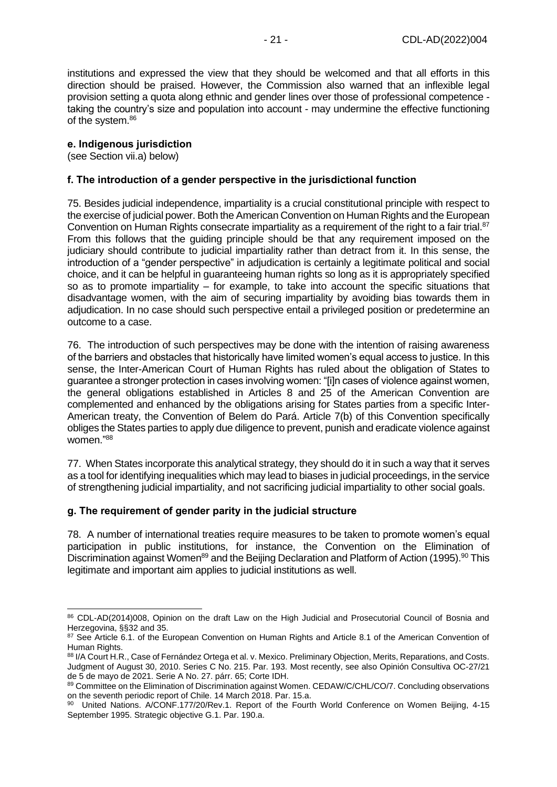institutions and expressed the view that they should be welcomed and that all efforts in this direction should be praised. However, the Commission also warned that an inflexible legal provision setting a quota along ethnic and gender lines over those of professional competence taking the country's size and population into account - may undermine the effective functioning of the system.<sup>86</sup>

#### <span id="page-20-0"></span>**e. Indigenous jurisdiction**

(see Section vii.a) below)

#### <span id="page-20-1"></span>**f. The introduction of a gender perspective in the jurisdictional function**

75. Besides judicial independence, impartiality is a crucial constitutional principle with respect to the exercise of judicial power. Both the American Convention on Human Rights and the European Convention on Human Rights consecrate impartiality as a requirement of the right to a fair trial.<sup>87</sup> From this follows that the guiding principle should be that any requirement imposed on the judiciary should contribute to judicial impartiality rather than detract from it. In this sense, the introduction of a "gender perspective" in adjudication is certainly a legitimate political and social choice, and it can be helpful in guaranteeing human rights so long as it is appropriately specified so as to promote impartiality – for example, to take into account the specific situations that disadvantage women, with the aim of securing impartiality by avoiding bias towards them in adjudication. In no case should such perspective entail a privileged position or predetermine an outcome to a case.

76. The introduction of such perspectives may be done with the intention of raising awareness of the barriers and obstacles that historically have limited women's equal access to justice. In this sense, the Inter-American Court of Human Rights has ruled about the obligation of States to guarantee a stronger protection in cases involving women: "[i]n cases of violence against women, the general obligations established in Articles 8 and 25 of the American Convention are complemented and enhanced by the obligations arising for States parties from a specific Inter-American treaty, the Convention of Belem do Pará. Article 7(b) of this Convention specifically obliges the States parties to apply due diligence to prevent, punish and eradicate violence against women." 88

77. When States incorporate this analytical strategy, they should do it in such a way that it serves as a tool for identifying inequalities which may lead to biases in judicial proceedings, in the service of strengthening judicial impartiality, and not sacrificing judicial impartiality to other social goals.

#### <span id="page-20-2"></span>**g. The requirement of gender parity in the judicial structure**

78. A number of international treaties require measures to be taken to promote women's equal participation in public institutions, for instance, the Convention on the Elimination of Discrimination against Women<sup>89</sup> and the Beijing Declaration and Platform of Action (1995).<sup>90</sup> This legitimate and important aim applies to judicial institutions as well.

<sup>86</sup> CDL-AD(2014)008, Opinion on the draft Law on the High Judicial and Prosecutorial Council of Bosnia and Herzegovina, §§32 and 35.

<sup>87</sup> See Article 6.1. of the European Convention on Human Rights and Article 8.1 of the American Convention of Human Rights.

<sup>88</sup> I/A Court H.R., Case of Fernández Ortega et al. v. Mexico. Preliminary Objection, Merits, Reparations, and Costs. Judgment of August 30, 2010. Series C No. 215. Par. 193. Most recently, see also Opinión Consultiva OC-27/21 de 5 de mayo de 2021. Serie A No. 27. párr. 65; Corte IDH.

<sup>89</sup> Committee on the Elimination of Discrimination against Women. CEDAW/C/CHL/CO/7. Concluding observations on the seventh periodic report of Chile. 14 March 2018. Par. 15.a.

<sup>&</sup>lt;sup>90</sup> United Nations. A/CONF.177/20/Rev.1. Report of the Fourth World Conference on Women Beijing, 4-15 September 1995. Strategic objective G.1. Par. 190.a.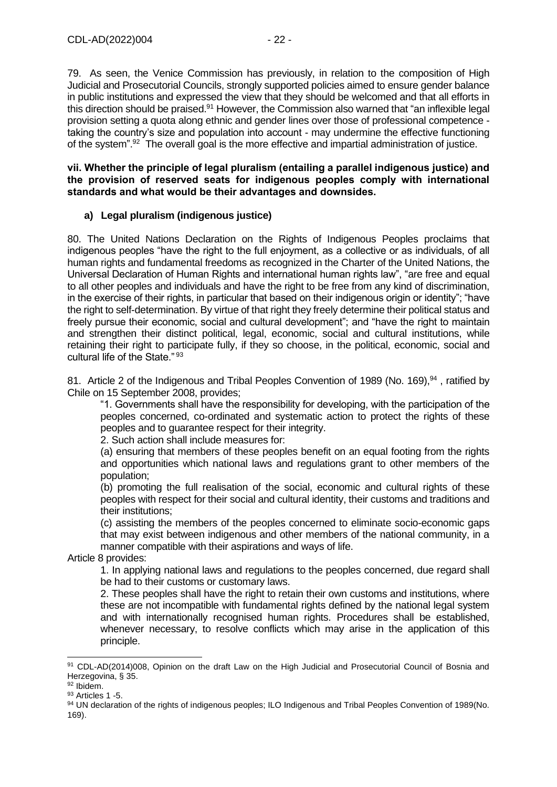79. As seen, the Venice Commission has previously, in relation to the composition of High Judicial and Prosecutorial Councils, strongly supported policies aimed to ensure gender balance in public institutions and expressed the view that they should be welcomed and that all efforts in this direction should be praised.<sup>91</sup> However, the Commission also warned that "an inflexible legal provision setting a quota along ethnic and gender lines over those of professional competence taking the country's size and population into account - may undermine the effective functioning of the system".<sup>92</sup> The overall goal is the more effective and impartial administration of justice.

#### <span id="page-21-0"></span>**vii. Whether the principle of legal pluralism (entailing a parallel indigenous justice) and the provision of reserved seats for indigenous peoples comply with international standards and what would be their advantages and downsides.**

# **a) Legal pluralism (indigenous justice)**

80. The United Nations Declaration on the Rights of Indigenous Peoples proclaims that indigenous peoples "have the right to the full enjoyment, as a collective or as individuals, of all human rights and fundamental freedoms as recognized in the Charter of the United Nations, the Universal Declaration of Human Rights and international human rights law", "are free and equal to all other peoples and individuals and have the right to be free from any kind of discrimination, in the exercise of their rights, in particular that based on their indigenous origin or identity"; "have the right to self-determination. By virtue of that right they freely determine their political status and freely pursue their economic, social and cultural development"; and "have the right to maintain and strengthen their distinct political, legal, economic, social and cultural institutions, while retaining their right to participate fully, if they so choose, in the political, economic, social and cultural life of the State." <sup>93</sup>

81. Article 2 of the Indigenous and Tribal Peoples Convention of 1989 (No. 169),<sup>94</sup>, ratified by Chile on 15 September 2008, provides;

"1. Governments shall have the responsibility for developing, with the participation of the peoples concerned, co-ordinated and systematic action to protect the rights of these peoples and to guarantee respect for their integrity.

2. Such action shall include measures for:

(a) ensuring that members of these peoples benefit on an equal footing from the rights and opportunities which national laws and regulations grant to other members of the population;

(b) promoting the full realisation of the social, economic and cultural rights of these peoples with respect for their social and cultural identity, their customs and traditions and their institutions;

(c) assisting the members of the peoples concerned to eliminate socio-economic gaps that may exist between indigenous and other members of the national community, in a manner compatible with their aspirations and ways of life.

Article 8 provides:

1. In applying national laws and regulations to the peoples concerned, due regard shall be had to their customs or customary laws.

2. These peoples shall have the right to retain their own customs and institutions, where these are not incompatible with fundamental rights defined by the national legal system and with internationally recognised human rights. Procedures shall be established, whenever necessary, to resolve conflicts which may arise in the application of this principle.

<sup>91</sup> CDL-AD(2014)008, Opinion on the draft Law on the High Judicial and Prosecutorial Council of Bosnia and Herzegovina, § 35.

 $92$  Ibidem

<sup>93</sup> Articles 1 -5.

<sup>94</sup> UN declaration of the rights of indigenous peoples; ILO Indigenous and Tribal Peoples Convention of 1989(No. 169).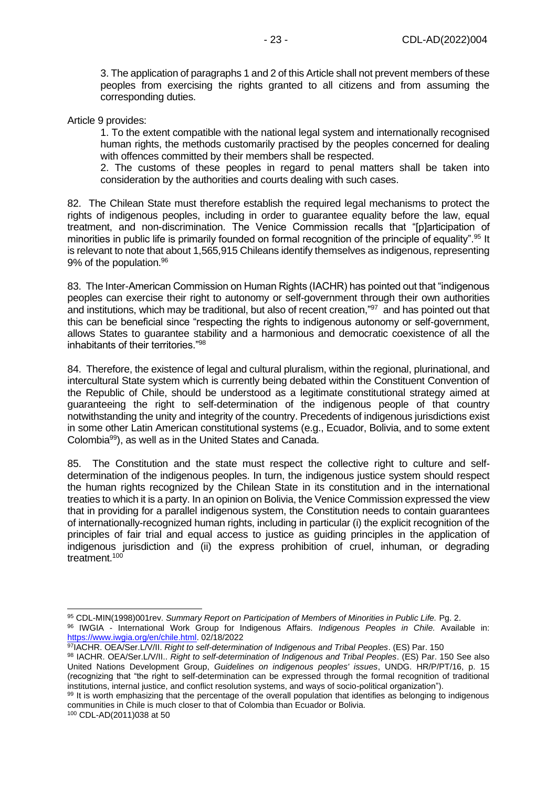3. The application of paragraphs 1 and 2 of this Article shall not prevent members of these peoples from exercising the rights granted to all citizens and from assuming the corresponding duties.

Article 9 provides:

1. To the extent compatible with the national legal system and internationally recognised human rights, the methods customarily practised by the peoples concerned for dealing with offences committed by their members shall be respected.

2. The customs of these peoples in regard to penal matters shall be taken into consideration by the authorities and courts dealing with such cases.

82. The Chilean State must therefore establish the required legal mechanisms to protect the rights of indigenous peoples, including in order to guarantee equality before the law, equal treatment, and non-discrimination. The Venice Commission recalls that "[p]articipation of minorities in public life is primarily founded on formal recognition of the principle of equality".<sup>95</sup> It is relevant to note that about 1,565,915 Chileans identify themselves as indigenous, representing 9% of the population. 96

83. The Inter-American Commission on Human Rights (IACHR) has pointed out that "indigenous peoples can exercise their right to autonomy or self-government through their own authorities and institutions, which may be traditional, but also of recent creation,"<sup>97</sup> and has pointed out that this can be beneficial since "respecting the rights to indigenous autonomy or self-government, allows States to guarantee stability and a harmonious and democratic coexistence of all the inhabitants of their territories."<sup>98</sup>

84. Therefore, the existence of legal and cultural pluralism, within the regional, plurinational, and intercultural State system which is currently being debated within the Constituent Convention of the Republic of Chile, should be understood as a legitimate constitutional strategy aimed at guaranteeing the right to self-determination of the indigenous people of that country notwithstanding the unity and integrity of the country. Precedents of indigenous jurisdictions exist in some other Latin American constitutional systems (e.g., Ecuador, Bolivia, and to some extent Colombia<sup>99</sup>), as well as in the United States and Canada.

85. The Constitution and the state must respect the collective right to culture and selfdetermination of the indigenous peoples. In turn, the indigenous justice system should respect the human rights recognized by the Chilean State in its constitution and in the international treaties to which it is a party. In an opinion on Bolivia, the Venice Commission expressed the view that in providing for a parallel indigenous system, the Constitution needs to contain guarantees of internationally-recognized human rights, including in particular (i) the explicit recognition of the principles of fair trial and equal access to justice as guiding principles in the application of indigenous jurisdiction and (ii) the express prohibition of cruel, inhuman, or degrading treatment.<sup>100</sup>

99 It is worth emphasizing that the percentage of the overall population that identifies as belonging to indigenous communities in Chile is much closer to that of Colombia than Ecuador or Bolivia.

<sup>100</sup> CDL-AD(2011)038 at 50

<sup>95</sup> CDL-MIN(1998)001rev. *Summary Report on Participation of Members of Minorities in Public Life.* Pg. 2.

<sup>96</sup> IWGIA - International Work Group for Indigenous Affairs. *Indigenous Peoples in Chile.* Available in: [https://www.iwgia.org/en/chile.html.](https://www.iwgia.org/en/chile.html) 02/18/2022

<sup>97</sup>IACHR. OEA/Ser.L/V/II. *Right to self-determination of Indigenous and Tribal Peoples*. (ES) Par. 150

<sup>98</sup> IACHR. OEA/Ser.L/V/II.. *Right to self-determination of Indigenous and Tribal Peoples*. (ES) Par. 150 See also United Nations Development Group, *Guidelines on indigenous peoples' issues*, UNDG. HR/P/PT/16, p. 15 (recognizing that "the right to self-determination can be expressed through the formal recognition of traditional institutions, internal justice, and conflict resolution systems, and ways of socio-political organization").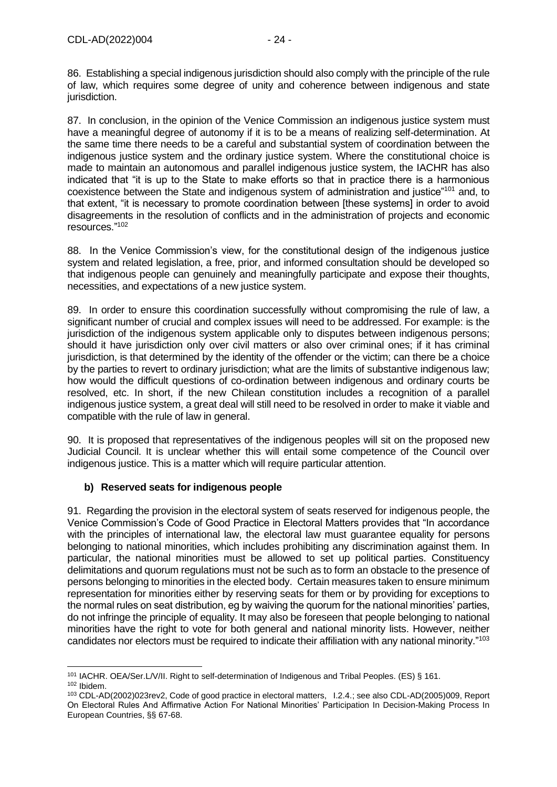86. Establishing a special indigenous jurisdiction should also comply with the principle of the rule of law, which requires some degree of unity and coherence between indigenous and state jurisdiction.

87. In conclusion, in the opinion of the Venice Commission an indigenous justice system must have a meaningful degree of autonomy if it is to be a means of realizing self-determination. At the same time there needs to be a careful and substantial system of coordination between the indigenous justice system and the ordinary justice system. Where the constitutional choice is made to maintain an autonomous and parallel indigenous justice system, the IACHR has also indicated that "it is up to the State to make efforts so that in practice there is a harmonious coexistence between the State and indigenous system of administration and justice"<sup>101</sup> and, to that extent, "it is necessary to promote coordination between [these systems] in order to avoid disagreements in the resolution of conflicts and in the administration of projects and economic resources." 102

88. In the Venice Commission's view, for the constitutional design of the indigenous justice system and related legislation, a free, prior, and informed consultation should be developed so that indigenous people can genuinely and meaningfully participate and expose their thoughts, necessities, and expectations of a new justice system.

89. In order to ensure this coordination successfully without compromising the rule of law, a significant number of crucial and complex issues will need to be addressed. For example: is the jurisdiction of the indigenous system applicable only to disputes between indigenous persons; should it have jurisdiction only over civil matters or also over criminal ones; if it has criminal jurisdiction, is that determined by the identity of the offender or the victim; can there be a choice by the parties to revert to ordinary jurisdiction; what are the limits of substantive indigenous law; how would the difficult questions of co-ordination between indigenous and ordinary courts be resolved, etc. In short, if the new Chilean constitution includes a recognition of a parallel indigenous justice system, a great deal will still need to be resolved in order to make it viable and compatible with the rule of law in general.

90. It is proposed that representatives of the indigenous peoples will sit on the proposed new Judicial Council. It is unclear whether this will entail some competence of the Council over indigenous justice. This is a matter which will require particular attention.

# **b) Reserved seats for indigenous people**

91. Regarding the provision in the electoral system of seats reserved for indigenous people, the Venice Commission's Code of Good Practice in Electoral Matters provides that "In accordance with the principles of international law, the electoral law must guarantee equality for persons belonging to national minorities, which includes prohibiting any discrimination against them. In particular, the national minorities must be allowed to set up political parties. Constituency delimitations and quorum regulations must not be such as to form an obstacle to the presence of persons belonging to minorities in the elected body. Certain measures taken to ensure minimum representation for minorities either by reserving seats for them or by providing for exceptions to the normal rules on seat distribution, eg by waiving the quorum for the national minorities' parties, do not infringe the principle of equality. It may also be foreseen that people belonging to national minorities have the right to vote for both general and national minority lists. However, neither candidates nor electors must be required to indicate their affiliation with any national minority."<sup>103</sup>

<sup>101</sup> IACHR. OEA/Ser.L/V/II. Right to self-determination of Indigenous and Tribal Peoples. (ES) § 161. <sup>102</sup> Ibidem.

<sup>103</sup> CDL-AD(2002)023rev2, Code of good practice in electoral matters, I.2.4.; see also CDL-AD(2005)009, Report On Electoral Rules And Affirmative Action For National Minorities' Participation In Decision-Making Process In European Countries, §§ 67-68.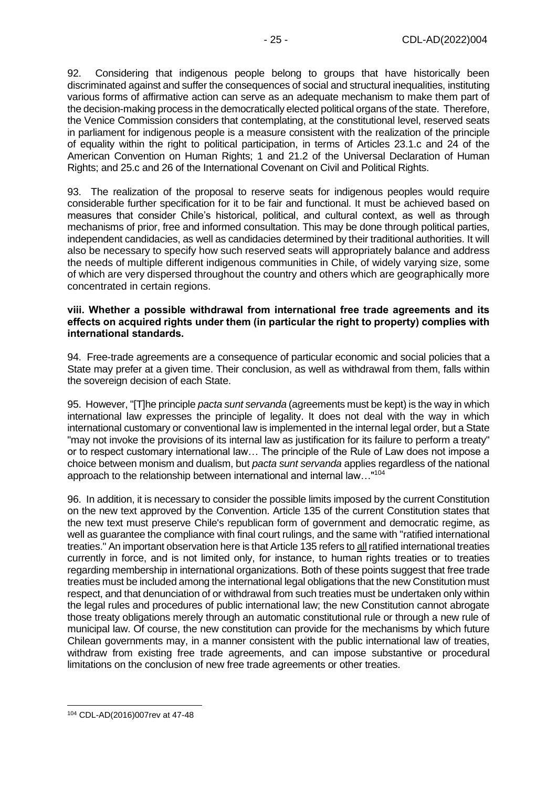92. Considering that indigenous people belong to groups that have historically been discriminated against and suffer the consequences of social and structural inequalities, instituting various forms of affirmative action can serve as an adequate mechanism to make them part of the decision-making process in the democratically elected political organs of the state. Therefore, the Venice Commission considers that contemplating, at the constitutional level, reserved seats in parliament for indigenous people is a measure consistent with the realization of the principle of equality within the right to political participation, in terms of Articles 23.1.c and 24 of the American Convention on Human Rights; 1 and 21.2 of the Universal Declaration of Human Rights; and 25.c and 26 of the International Covenant on Civil and Political Rights.

93. The realization of the proposal to reserve seats for indigenous peoples would require considerable further specification for it to be fair and functional. It must be achieved based on measures that consider Chile's historical, political, and cultural context, as well as through mechanisms of prior, free and informed consultation. This may be done through political parties, independent candidacies, as well as candidacies determined by their traditional authorities. It will also be necessary to specify how such reserved seats will appropriately balance and address the needs of multiple different indigenous communities in Chile, of widely varying size, some of which are very dispersed throughout the country and others which are geographically more concentrated in certain regions.

#### <span id="page-24-0"></span>**viii. Whether a possible withdrawal from international free trade agreements and its effects on acquired rights under them (in particular the right to property) complies with international standards.**

94. Free-trade agreements are a consequence of particular economic and social policies that a State may prefer at a given time. Their conclusion, as well as withdrawal from them, falls within the sovereign decision of each State.

95. However, "[T]he principle *pacta sunt servanda* (agreements must be kept) is the way in which international law expresses the principle of legality. It does not deal with the way in which international customary or conventional law is implemented in the internal legal order, but a State "may not invoke the provisions of its internal law as justification for its failure to perform a treaty" or to respect customary international law… The principle of the Rule of Law does not impose a choice between monism and dualism, but *pacta sunt servanda* applies regardless of the national approach to the relationship between international and internal law…"<sup>104</sup>

96. In addition, it is necessary to consider the possible limits imposed by the current Constitution on the new text approved by the Convention. Article 135 of the current Constitution states that the new text must preserve Chile's republican form of government and democratic regime, as well as guarantee the compliance with final court rulings, and the same with "ratified international treaties." An important observation here is that Article 135 refers to all ratified international treaties currently in force, and is not limited only, for instance, to human rights treaties or to treaties regarding membership in international organizations. Both of these points suggest that free trade treaties must be included among the international legal obligations that the new Constitution must respect, and that denunciation of or withdrawal from such treaties must be undertaken only within the legal rules and procedures of public international law; the new Constitution cannot abrogate those treaty obligations merely through an automatic constitutional rule or through a new rule of municipal law. Of course, the new constitution can provide for the mechanisms by which future Chilean governments may, in a manner consistent with the public international law of treaties, withdraw from existing free trade agreements, and can impose substantive or procedural limitations on the conclusion of new free trade agreements or other treaties.

<sup>104</sup> CDL-AD(2016)007rev at 47-48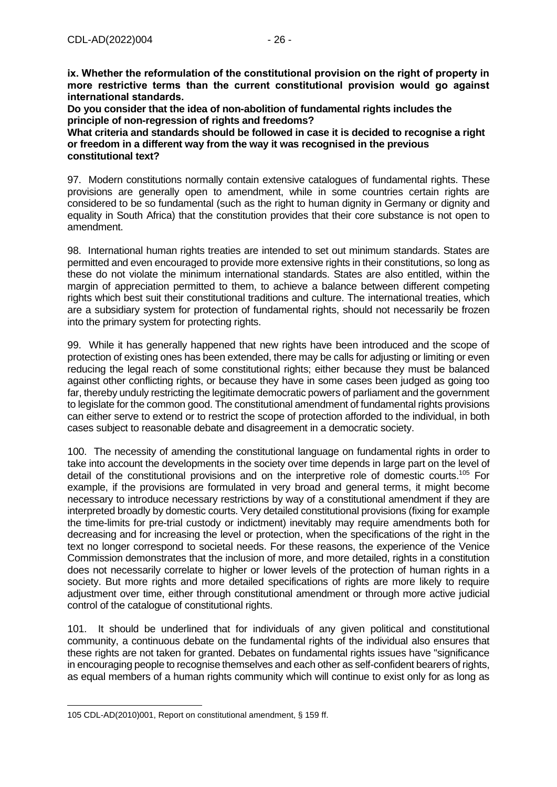<span id="page-25-0"></span>**ix. Whether the reformulation of the constitutional provision on the right of property in more restrictive terms than the current constitutional provision would go against international standards.**

**Do you consider that the idea of non-abolition of fundamental rights includes the principle of non-regression of rights and freedoms?**

**What criteria and standards should be followed in case it is decided to recognise a right or freedom in a different way from the way it was recognised in the previous constitutional text?**

97. Modern constitutions normally contain extensive catalogues of fundamental rights. These provisions are generally open to amendment, while in some countries certain rights are considered to be so fundamental (such as the right to human dignity in Germany or dignity and equality in South Africa) that the constitution provides that their core substance is not open to amendment.

98. International human rights treaties are intended to set out minimum standards. States are permitted and even encouraged to provide more extensive rights in their constitutions, so long as these do not violate the minimum international standards. States are also entitled, within the margin of appreciation permitted to them, to achieve a balance between different competing rights which best suit their constitutional traditions and culture. The international treaties, which are a subsidiary system for protection of fundamental rights, should not necessarily be frozen into the primary system for protecting rights.

99. While it has generally happened that new rights have been introduced and the scope of protection of existing ones has been extended, there may be calls for adjusting or limiting or even reducing the legal reach of some constitutional rights; either because they must be balanced against other conflicting rights, or because they have in some cases been judged as going too far, thereby unduly restricting the legitimate democratic powers of parliament and the government to legislate for the common good. The constitutional amendment of fundamental rights provisions can either serve to extend or to restrict the scope of protection afforded to the individual, in both cases subject to reasonable debate and disagreement in a democratic society.

100. The necessity of amending the constitutional language on fundamental rights in order to take into account the developments in the society over time depends in large part on the level of detail of the constitutional provisions and on the interpretive role of domestic courts.<sup>105</sup> For example, if the provisions are formulated in very broad and general terms, it might become necessary to introduce necessary restrictions by way of a constitutional amendment if they are interpreted broadly by domestic courts. Very detailed constitutional provisions (fixing for example the time-limits for pre-trial custody or indictment) inevitably may require amendments both for decreasing and for increasing the level or protection, when the specifications of the right in the text no longer correspond to societal needs. For these reasons, the experience of the Venice Commission demonstrates that the inclusion of more, and more detailed, rights in a constitution does not necessarily correlate to higher or lower levels of the protection of human rights in a society. But more rights and more detailed specifications of rights are more likely to require adjustment over time, either through constitutional amendment or through more active judicial control of the catalogue of constitutional rights.

101. It should be underlined that for individuals of any given political and constitutional community, a continuous debate on the fundamental rights of the individual also ensures that these rights are not taken for granted. Debates on fundamental rights issues have "significance in encouraging people to recognise themselves and each other as self-confident bearers of rights, as equal members of a human rights community which will continue to exist only for as long as

<sup>105</sup> CDL-AD(2010)001, Report on constitutional amendment, § 159 ff.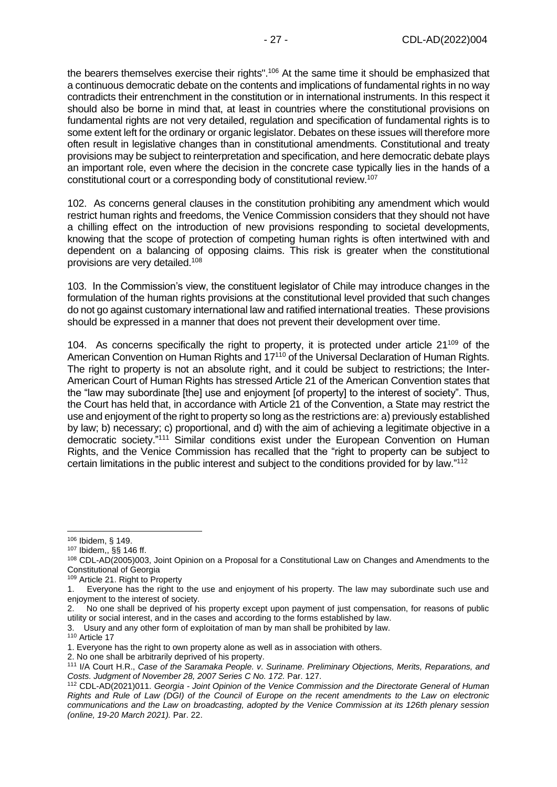the bearers themselves exercise their rights".<sup>106</sup> At the same time it should be emphasized that a continuous democratic debate on the contents and implications of fundamental rights in no way contradicts their entrenchment in the constitution or in international instruments. In this respect it should also be borne in mind that, at least in countries where the constitutional provisions on fundamental rights are not very detailed, regulation and specification of fundamental rights is to some extent left for the ordinary or organic legislator. Debates on these issues will therefore more often result in legislative changes than in constitutional amendments. Constitutional and treaty provisions may be subject to reinterpretation and specification, and here democratic debate plays an important role, even where the decision in the concrete case typically lies in the hands of a constitutional court or a corresponding body of constitutional review.<sup>107</sup>

102. As concerns general clauses in the constitution prohibiting any amendment which would restrict human rights and freedoms, the Venice Commission considers that they should not have a chilling effect on the introduction of new provisions responding to societal developments, knowing that the scope of protection of competing human rights is often intertwined with and dependent on a balancing of opposing claims. This risk is greater when the constitutional provisions are very detailed.<sup>108</sup>

103. In the Commission's view, the constituent legislator of Chile may introduce changes in the formulation of the human rights provisions at the constitutional level provided that such changes do not go against customary international law and ratified international treaties. These provisions should be expressed in a manner that does not prevent their development over time.

104. As concerns specifically the right to property, it is protected under article 21<sup>109</sup> of the American Convention on Human Rights and 17<sup>110</sup> of the Universal Declaration of Human Rights. The right to property is not an absolute right, and it could be subject to restrictions; the Inter-American Court of Human Rights has stressed Article 21 of the American Convention states that the "law may subordinate [the] use and enjoyment [of property] to the interest of society". Thus, the Court has held that, in accordance with Article 21 of the Convention, a State may restrict the use and enjoyment of the right to property so long as the restrictions are: a) previously established by law; b) necessary; c) proportional, and d) with the aim of achieving a legitimate objective in a democratic society."<sup>111</sup> Similar conditions exist under the European Convention on Human Rights, and the Venice Commission has recalled that the "right to property can be subject to certain limitations in the public interest and subject to the conditions provided for by law."<sup>112</sup>

<sup>110</sup> Article 17

<sup>106</sup> Ibidem, § 149.

<sup>107</sup> Ibidem,, §§ 146 ff.

<sup>108</sup> CDL-AD(2005)003, Joint Opinion on a Proposal for a Constitutional Law on Changes and Amendments to the Constitutional of Georgia

<sup>109</sup> Article 21. Right to Property

<sup>1.</sup> Everyone has the right to the use and enjoyment of his property. The law may subordinate such use and enjoyment to the interest of society.

<sup>2.</sup> No one shall be deprived of his property except upon payment of just compensation, for reasons of public utility or social interest, and in the cases and according to the forms established by law.

<sup>3.</sup> Usury and any other form of exploitation of man by man shall be prohibited by law.

<sup>1.</sup> Everyone has the right to own property alone as well as in association with others.

<sup>2.</sup> No one shall be arbitrarily deprived of his property.

<sup>111</sup> I/A Court H.R., *Case of the Saramaka People. v. Suriname. Preliminary Objections, Merits, Reparations, and Costs. Judgment of November 28, 2007 Series C No. 172.* Par. 127.

<sup>112</sup> CDL-AD(2021)011. *Georgia - Joint Opinion of the Venice Commission and the Directorate General of Human Rights and Rule of Law (DGI) of the Council of Europe on the recent amendments to the Law on electronic communications and the Law on broadcasting, adopted by the Venice Commission at its 126th plenary session (online, 19-20 March 2021).* Par. 22.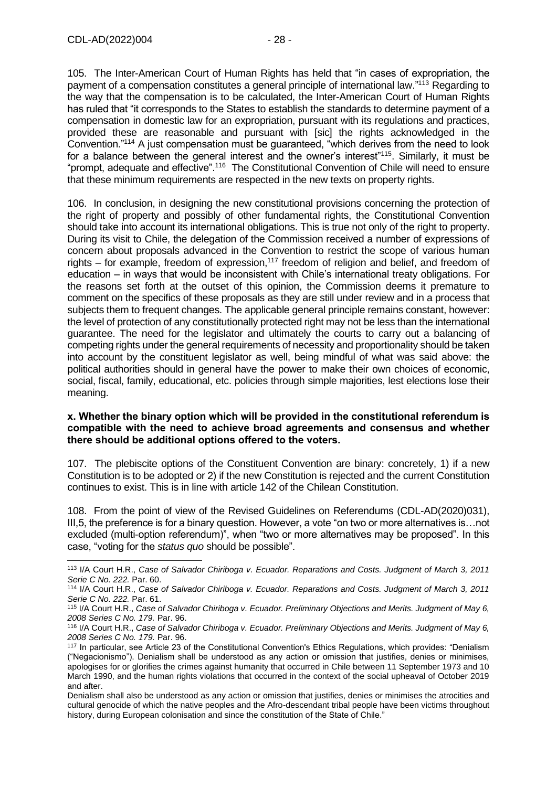105. The Inter-American Court of Human Rights has held that "in cases of expropriation, the payment of a compensation constitutes a general principle of international law."<sup>113</sup> Regarding to the way that the compensation is to be calculated, the Inter-American Court of Human Rights has ruled that "it corresponds to the States to establish the standards to determine payment of a compensation in domestic law for an expropriation, pursuant with its regulations and practices, provided these are reasonable and pursuant with [sic] the rights acknowledged in the Convention." <sup>114</sup> A just compensation must be guaranteed, "which derives from the need to look for a balance between the general interest and the owner's interest"<sup>115</sup>. Similarly, it must be "prompt, adequate and effective".<sup>116</sup> The Constitutional Convention of Chile will need to ensure that these minimum requirements are respected in the new texts on property rights.

106. In conclusion, in designing the new constitutional provisions concerning the protection of the right of property and possibly of other fundamental rights, the Constitutional Convention should take into account its international obligations. This is true not only of the right to property. During its visit to Chile, the delegation of the Commission received a number of expressions of concern about proposals advanced in the Convention to restrict the scope of various human rights – for example, freedom of expression,<sup>117</sup> freedom of religion and belief, and freedom of education – in ways that would be inconsistent with Chile's international treaty obligations. For the reasons set forth at the outset of this opinion, the Commission deems it premature to comment on the specifics of these proposals as they are still under review and in a process that subjects them to frequent changes. The applicable general principle remains constant, however: the level of protection of any constitutionally protected right may not be less than the international guarantee. The need for the legislator and ultimately the courts to carry out a balancing of competing rights under the general requirements of necessity and proportionality should be taken into account by the constituent legislator as well, being mindful of what was said above: the political authorities should in general have the power to make their own choices of economic, social, fiscal, family, educational, etc. policies through simple majorities, lest elections lose their meaning.

#### <span id="page-27-0"></span>**x. Whether the binary option which will be provided in the constitutional referendum is compatible with the need to achieve broad agreements and consensus and whether there should be additional options offered to the voters.**

107. The plebiscite options of the Constituent Convention are binary: concretely, 1) if a new Constitution is to be adopted or 2) if the new Constitution is rejected and the current Constitution continues to exist. This is in line with article 142 of the Chilean Constitution.

108. From the point of view of the Revised Guidelines on Referendums (CDL-AD(2020)031), III,5, the preference is for a binary question. However, a vote "on two or more alternatives is…not excluded (multi-option referendum)", when "two or more alternatives may be proposed". In this case, "voting for the *status quo* should be possible".

<sup>113</sup> I/A Court H.R., *Case of Salvador Chiriboga v. Ecuador. Reparations and Costs. Judgment of March 3, 2011 Serie C No. 222.* Par. 60.

<sup>114</sup> I/A Court H.R., *Case of Salvador Chiriboga v. Ecuador. Reparations and Costs. Judgment of March 3, 2011 Serie C No. 222.* Par. 61.

<sup>115</sup> I/A Court H.R., *Case of Salvador Chiriboga v. Ecuador. Preliminary Objections and Merits. Judgment of May 6, 2008 Series C No. 179.* Par. 96.

<sup>116</sup> I/A Court H.R., *Case of Salvador Chiriboga v. Ecuador. Preliminary Objections and Merits. Judgment of May 6, 2008 Series C No. 179.* Par. 96.

<sup>117</sup> In particular, see Article 23 of the Constitutional Convention's Ethics Regulations, which provides: "Denialism ("Negacionismo"). Denialism shall be understood as any action or omission that justifies, denies or minimises, apologises for or glorifies the crimes against humanity that occurred in Chile between 11 September 1973 and 10 March 1990, and the human rights violations that occurred in the context of the social upheaval of October 2019 and after.

Denialism shall also be understood as any action or omission that justifies, denies or minimises the atrocities and cultural genocide of which the native peoples and the Afro-descendant tribal people have been victims throughout history, during European colonisation and since the constitution of the State of Chile."